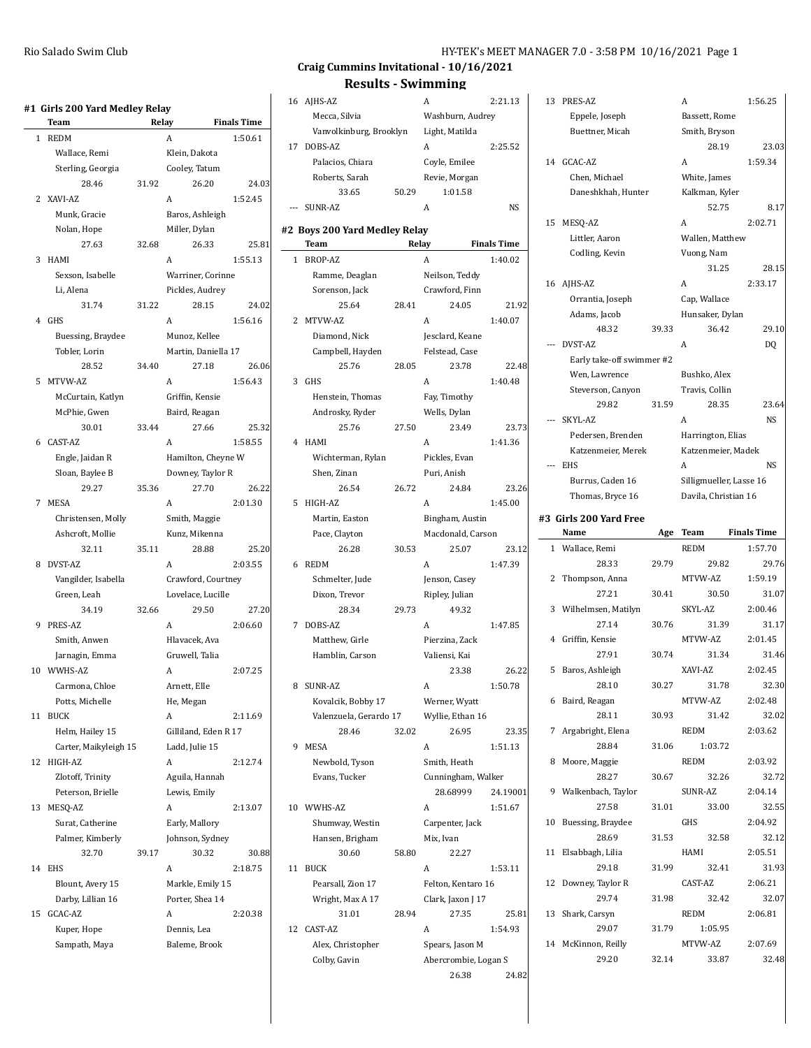|    | #1  Girls 200 Yard Medley Relay<br>Team | Relay |                      | <b>Finals Time</b> |
|----|-----------------------------------------|-------|----------------------|--------------------|
| 1  | <b>REDM</b>                             |       | A                    | 1:50.61            |
|    | Wallace, Remi                           |       | Klein, Dakota        |                    |
|    | Sterling, Georgia                       |       | Cooley, Tatum        |                    |
|    | 28.46                                   | 31.92 | 26.20                | 24.03              |
| 2  | XAVI-AZ                                 |       | A                    | 1:52.45            |
|    | Munk, Gracie                            |       | Baros, Ashleigh      |                    |
|    |                                         |       | Miller, Dylan        |                    |
|    | Nolan, Hope<br>27.63                    | 32.68 | 26.33                | 25.81              |
| 3  | HAMI                                    |       | A                    | 1:55.13            |
|    |                                         |       |                      |                    |
|    | Sexson, Isabelle<br>Li, Alena           |       | Warriner, Corinne    |                    |
|    |                                         |       | Pickles, Audrey      |                    |
|    | 31.74                                   | 31.22 | 28.15                | 24.02              |
| 4  | <b>GHS</b>                              |       | A                    | 1:56.16            |
|    | Buessing, Braydee                       |       | Munoz, Kellee        |                    |
|    | Tobler, Lorin                           |       | Martin, Daniella 17  |                    |
|    | 28.52                                   | 34.40 | 27.18                | 26.06              |
| 5  | MTVW-AZ                                 |       | A                    | 1:56.43            |
|    | McCurtain, Katlyn                       |       | Griffin, Kensie      |                    |
|    | McPhie, Gwen                            |       | Baird, Reagan        |                    |
|    | 30.01                                   | 33.44 | 27.66                | 25.32              |
| 6  | CAST-AZ                                 |       | A                    | 1:58.55            |
|    | Engle, Jaidan R                         |       | Hamilton, Cheyne W   |                    |
|    | Sloan, Baylee B                         |       | Downey, Taylor R     |                    |
|    | 29.27                                   | 35.36 | 27.70                | 26.22              |
| 7  | MESA                                    |       | A                    | 2:01.30            |
|    | Christensen, Molly                      |       | Smith, Maggie        |                    |
|    | Ashcroft, Mollie                        |       | Kunz, Mikenna        |                    |
|    | 32.11                                   | 35.11 | 28.88                | 25.20              |
| 8  | DVST-AZ                                 |       | A                    | 2:03.55            |
|    | Vangilder, Isabella                     |       | Crawford, Courtney   |                    |
|    | Green, Leah                             |       | Lovelace, Lucille    |                    |
|    | 34.19                                   | 32.66 | 29.50                | 27.20              |
| 9  | PRES-AZ                                 |       | A                    | 2:06.60            |
|    | Smith, Anwen                            |       | Hlavacek, Ava        |                    |
|    | Jarnagin, Emma                          |       | Gruwell, Talia       |                    |
| 10 | WWHS-AZ                                 |       | A                    | 2:07.25            |
|    | Carmona, Chloe                          |       | Arnett, Elle         |                    |
|    | Potts, Michelle                         |       | He, Megan            |                    |
| 11 | <b>BUCK</b>                             |       | A                    | 2:11.69            |
|    | Helm, Hailey 15                         |       | Gilliland, Eden R 17 |                    |
|    | Carter, Maikyleigh 15                   |       | Ladd, Julie 15       |                    |
| 12 | HIGH-AZ                                 |       | A                    | 2:12.74            |
|    | Zlotoff, Trinity                        |       | Aguila, Hannah       |                    |
|    | Peterson, Brielle                       |       | Lewis, Emily         |                    |
| 13 | MESQ-AZ                                 |       | A                    | 2:13.07            |
|    | Surat, Catherine                        |       | Early, Mallory       |                    |
|    | Palmer, Kimberly                        |       | Johnson, Sydney      |                    |
|    | 32.70                                   | 39.17 | 30.32                | 30.88              |
| 14 | <b>EHS</b>                              |       | A                    | 2:18.75            |
|    | Blount, Avery 15                        |       | Markle, Emily 15     |                    |
|    | Darby, Lillian 16                       |       | Porter, Shea 14      |                    |
| 15 | GCAC-AZ                                 |       | A                    | 2:20.38            |
|    | Kuper, Hope                             |       | Dennis, Lea          |                    |
|    | Sampath, Maya                           |       | Baleme, Brook        |                    |
|    |                                         |       |                      |                    |

### **Craig Cummins Invitational - 10/16/2021 Results - Swimming**

|       | Results - Swimming            |       |                      |                    |
|-------|-------------------------------|-------|----------------------|--------------------|
|       | 16 AJHS-AZ                    |       | A                    | 2:21.13            |
|       | Mecca, Silvia                 |       | Washburn, Audrey     |                    |
|       | Vanvolkinburg, Brooklyn       |       | Light, Matilda       |                    |
| 17    | DOBS-AZ                       |       | A                    | 2:25.52            |
|       | Palacios, Chiara              |       | Coyle, Emilee        |                    |
|       | Roberts, Sarah                |       | Revie, Morgan        |                    |
|       | 33.65                         | 50.29 | 1:01.58              |                    |
| $---$ | SUNR-AZ                       |       | A                    | <b>NS</b>          |
|       |                               |       |                      |                    |
|       | #2 Boys 200 Yard Medley Relay |       |                      |                    |
|       | Team                          |       | Relay                | <b>Finals Time</b> |
| 1     | BROP-AZ                       |       | А                    | 1:40.02            |
|       | Ramme, Deaglan                |       | Neilson, Teddy       |                    |
|       | Sorenson, Jack                |       | Crawford, Finn       |                    |
|       | 25.64                         | 28.41 | 24.05                | 21.92              |
| 2     | MTVW-AZ                       |       | A                    | 1:40.07            |
|       | Diamond, Nick                 |       | Jesclard, Keane      |                    |
|       | Campbell, Hayden              |       | Felstead, Case       |                    |
|       | 25.76                         | 28.05 | 23.78                | 22.48              |
| 3     | <b>GHS</b>                    |       | A                    | 1:40.48            |
|       | Henstein, Thomas              |       | Fay, Timothy         |                    |
|       | Androsky, Ryder               |       | Wells, Dylan         |                    |
|       | 25.76                         | 27.50 | 23.49                | 23.73              |
| 4     | HAMI                          |       | A                    | 1:41.36            |
|       | Wichterman, Rylan             |       | Pickles, Evan        |                    |
|       | Shen, Zinan                   |       | Puri, Anish          |                    |
|       | 26.54                         | 26.72 | 24.84                | 23.26              |
|       |                               |       |                      |                    |
| 5     | HIGH-AZ                       |       | A                    | 1:45.00            |
|       | Martin, Easton                |       | Bingham, Austin      |                    |
|       | Pace, Clayton                 |       | Macdonald, Carson    |                    |
|       | 26.28                         | 30.53 | 25.07                | 23.12              |
| 6     | <b>REDM</b>                   |       | A                    | 1:47.39            |
|       | Schmelter, Jude               |       | Jenson, Casey        |                    |
|       | Dixon, Trevor                 |       | Ripley, Julian       |                    |
|       | 28.34                         | 29.73 | 49.32                |                    |
| 7     | DOBS-AZ                       |       | A                    | 1:47.85            |
|       | Matthew, Girle                |       | Pierzina, Zack       |                    |
|       | Hamblin, Carson               |       | Valiensi, Kai        |                    |
|       |                               |       | 23.38                | 26.22              |
| 8     | SUNR-AZ                       |       | A                    | 1:50.78            |
|       | Kovalcik, Bobby 17            |       | Werner, Wyatt        |                    |
|       | Valenzuela, Gerardo 17        |       | Wyllie, Ethan 16     |                    |
|       | 28.46                         | 32.02 | 26.95                | 23.35              |
| 9     | <b>MESA</b>                   |       | A                    | 1:51.13            |
|       | Newbold, Tyson                |       | Smith, Heath         |                    |
|       | Evans, Tucker                 |       | Cunningham, Walker   |                    |
|       |                               |       | 28.68999             | 24.19001           |
| 10    | WWHS-AZ                       |       | A                    | 1:51.67            |
|       | Shumway, Westin               |       | Carpenter, Jack      |                    |
|       |                               |       |                      |                    |
|       | Hansen, Brigham<br>30.60      |       | Mix, Ivan<br>22.27   |                    |
|       |                               | 58.80 |                      |                    |
| 11    | <b>BUCK</b>                   |       | A                    | 1:53.11            |
|       | Pearsall, Zion 17             |       | Felton, Kentaro 16   |                    |
|       | Wright, Max A 17              |       | Clark, Jaxon J 17    |                    |
|       | 31.01                         | 28.94 | 27.35                | 25.81              |
| 12    | CAST-AZ                       |       | A                    | 1:54.93            |
|       | Alex, Christopher             |       | Spears, Jason M      |                    |
|       | Colby, Gavin                  |       | Abercrombie, Logan S |                    |
|       |                               |       | 26.38                | 24.82              |

| 13    | PRES-AZ                   |       | A                       | 1:56.25            |
|-------|---------------------------|-------|-------------------------|--------------------|
|       | Eppele, Joseph            |       | Bassett, Rome           |                    |
|       | Buettner, Micah           |       | Smith, Bryson           |                    |
|       |                           |       | 28.19                   | 23.03              |
|       | 14 GCAC-AZ                |       | A                       | 1:59.34            |
|       | Chen, Michael             |       | White, James            |                    |
|       | Daneshkhah, Hunter        |       | Kalkman, Kyler          |                    |
|       |                           |       | 52.75                   | 8.17               |
|       | 15 MESQ-AZ                |       | A                       | 2:02.71            |
|       | Littler, Aaron            |       | Wallen, Matthew         |                    |
|       | Codling, Kevin            |       | Vuong, Nam              |                    |
|       |                           |       | 31.25                   | 28.15              |
|       | 16 AJHS-AZ                |       | A                       | 2:33.17            |
|       | Orrantia, Joseph          |       | Cap, Wallace            |                    |
|       | Adams, Jacob              |       | Hunsaker, Dylan         |                    |
|       | 48.32                     | 39.33 | 36.42                   | 29.10              |
| $---$ | DVST-AZ                   |       | A                       |                    |
|       |                           |       |                         | DQ                 |
|       | Early take-off swimmer #2 |       |                         |                    |
|       | Wen, Lawrence             |       | Bushko, Alex            |                    |
|       | Steverson, Canyon         |       | Travis, Collin          |                    |
|       | 29.82                     | 31.59 | 28.35                   | 23.64              |
|       | --- SKYL-AZ               |       | A                       | <b>NS</b>          |
|       | Pedersen, Brenden         |       | Harrington, Elias       |                    |
|       | Katzenmeier, Merek        |       | Katzenmeier, Madek      |                    |
| $---$ | <b>EHS</b>                |       | A                       | <b>NS</b>          |
|       | Burrus, Caden 16          |       | Silligmueller, Lasse 16 |                    |
|       | Thomas, Bryce 16          |       | Davila, Christian 16    |                    |
|       | #3 Girls 200 Yard Free    |       |                         |                    |
|       | Name                      | Age   | Team                    | <b>Finals Time</b> |
|       |                           |       |                         |                    |
| 1     | Wallace, Remi             |       | <b>REDM</b>             | 1:57.70            |
|       | 28.33                     | 29.79 | 29.82                   | 29.76              |
| 2     | Thompson, Anna            |       | MTVW-AZ                 | 1:59.19            |
|       | 27.21                     | 30.41 | 30.50                   | 31.07              |
| 3     | Wilhelmsen, Matilyn       |       | SKYL-AZ                 | 2:00.46            |
|       | 27.14                     | 30.76 | 31.39                   | 31.17              |
| 4     | Griffin, Kensie           |       | MTVW-AZ                 | 2:01.45            |
|       | 27.91                     | 30.74 | 31.34                   | 31.46              |
|       |                           |       | XAVI-AZ                 |                    |
| 5     | Baros, Ashleigh           |       |                         | 2:02.45            |
|       | 28.10                     | 30.27 | 31.78                   | 32.30              |
|       | 6 Baird, Reagan           |       | MTVW-AZ                 | 2:02.48            |
|       | 28.11                     | 30.93 | 31.42                   | 32.02              |
|       | 7 Argabright, Elena       |       | REDM                    | 2:03.62            |
|       | 28.84                     | 31.06 | 1:03.72                 |                    |
| 8     | Moore, Maggie             |       | REDM                    | 2:03.92            |
|       | 28.27                     | 30.67 | 32.26                   | 32.72              |
| 9     | Walkenbach, Taylor        |       | SUNR-AZ                 | 2:04.14            |
|       | 27.58                     | 31.01 | 33.00                   | 32.55              |
| 10    | Buessing, Braydee         |       | GHS                     | 2:04.92            |
|       | 28.69                     | 31.53 | 32.58                   | 32.12              |
| 11    | Elsabbagh, Lilia          |       | HAMI                    | 2:05.51            |
|       | 29.18                     | 31.99 | 32.41                   | 31.93              |
| 12    | Downey, Taylor R          |       | CAST-AZ                 | 2:06.21            |
|       | 29.74                     | 31.98 | 32.42                   | 32.07              |
| 13    | Shark, Carsyn             |       | REDM                    | 2:06.81            |
|       | 29.07                     | 31.79 | 1:05.95                 |                    |
|       | 14 McKinnon, Reilly       |       | MTVW-AZ                 | 2:07.69            |
|       | 29.20                     | 32.14 | 33.87                   | 32.48              |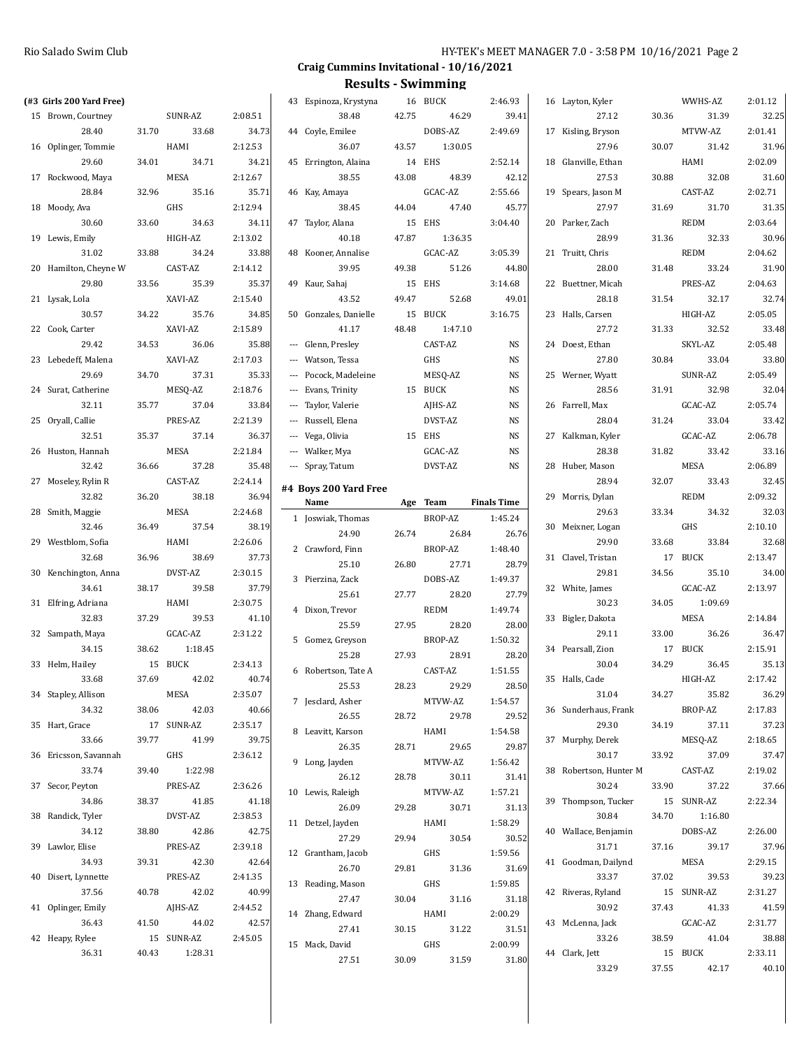| (#3 Girls 200 Yard Free) |       |             |         | 43 Espinoza, Krystyna |       | 16 BUCK     | 2:46.93            | 16 Layton, Kyler        |       | WWHS-AZ          | 2:01.12          |
|--------------------------|-------|-------------|---------|-----------------------|-------|-------------|--------------------|-------------------------|-------|------------------|------------------|
| 15 Brown, Courtney       |       | SUNR-AZ     | 2:08.51 | 38.48                 | 42.75 | 46.29       | 39.41              | 27.12                   | 30.36 | 31.39            | 32.25            |
| 28.40                    | 31.70 | 33.68       | 34.73   | 44 Coyle, Emilee      |       | DOBS-AZ     | 2:49.69            | 17 Kisling, Bryson      |       | MTVW-AZ          | 2:01.41          |
| 16 Oplinger, Tommie      |       | HAMI        | 2:12.53 | 36.07                 | 43.57 | 1:30.05     |                    | 27.96                   | 30.07 | 31.42            | 31.96            |
| 29.60                    | 34.01 | 34.71       | 34.21   | 45 Errington, Alaina  |       | 14 EHS      | 2:52.14            | 18 Glanville, Ethan     |       | HAMI             | 2:02.09          |
| 17 Rockwood, Maya        |       | MESA        | 2:12.67 | 38.55                 | 43.08 | 48.39       | 42.12              | 27.53                   | 30.88 | 32.08            | 31.60            |
| 28.84                    | 32.96 | 35.16       | 35.71   | 46 Kay, Amaya         |       | GCAC-AZ     | 2:55.66            | 19 Spears, Jason M      |       | CAST-AZ          | 2:02.71          |
|                          |       |             |         |                       |       |             |                    |                         |       |                  |                  |
| 18 Moody, Ava            |       | GHS         | 2:12.94 | 38.45                 | 44.04 | 47.40       | 45.77              | 27.97                   | 31.69 | 31.70            | 31.35            |
| 30.60                    | 33.60 | 34.63       | 34.11   | 47 Taylor, Alana      |       | 15 EHS      | 3:04.40            | 20 Parker, Zach         |       | <b>REDM</b>      | 2:03.64          |
| 19 Lewis, Emily          |       | HIGH-AZ     | 2:13.02 | 40.18                 | 47.87 | 1:36.35     |                    | 28.99                   | 31.36 | 32.33            | 30.96            |
| 31.02                    | 33.88 | 34.24       | 33.88   | 48 Kooner, Annalise   |       | GCAC-AZ     | 3:05.39            | 21 Truitt, Chris        |       | <b>REDM</b>      | 2:04.62          |
| 20 Hamilton, Cheyne W    |       | CAST-AZ     | 2:14.12 | 39.95                 | 49.38 | 51.26       | 44.80              | 28.00                   | 31.48 | 33.24            | 31.90            |
| 29.80                    | 33.56 | 35.39       | 35.37   | 49 Kaur, Sahaj        |       | 15 EHS      | 3:14.68            | 22 Buettner, Micah      |       | PRES-AZ          | 2:04.63          |
| 21 Lysak, Lola           |       | XAVI-AZ     | 2:15.40 | 43.52                 | 49.47 | 52.68       | 49.01              | 28.18                   | 31.54 | 32.17            | 32.74            |
| 30.57                    | 34.22 | 35.76       | 34.85   | 50 Gonzales, Danielle |       | 15 BUCK     | 3:16.75            | 23 Halls, Carsen        |       | HIGH-AZ          | 2:05.05          |
| 22 Cook, Carter          |       | XAVI-AZ     | 2:15.89 | 41.17                 | 48.48 | 1:47.10     |                    | 27.72                   | 31.33 | 32.52            | 33.48            |
| 29.42                    | 34.53 | 36.06       | 35.88   | --- Glenn, Presley    |       | CAST-AZ     | NS                 | 24 Doest, Ethan         |       | SKYL-AZ          | 2:05.48          |
| 23 Lebedeff, Malena      |       | XAVI-AZ     | 2:17.03 | --- Watson, Tessa     |       | GHS         | <b>NS</b>          | 27.80                   | 30.84 | 33.04            | 33.80            |
| 29.69                    | 34.70 | 37.31       | 35.33   | --- Pocock, Madeleine |       | MESQ-AZ     | <b>NS</b>          | 25 Werner, Wyatt        |       | SUNR-AZ          | 2:05.49          |
|                          |       |             |         |                       |       |             |                    |                         |       |                  |                  |
| 24 Surat, Catherine      |       | MESQ-AZ     | 2:18.76 | --- Evans, Trinity    |       | 15 BUCK     | <b>NS</b>          | 28.56                   | 31.91 | 32.98            | 32.04            |
| 32.11                    | 35.77 | 37.04       | 33.84   | --- Taylor, Valerie   |       | AJHS-AZ     | <b>NS</b>          | 26 Farrell, Max         |       | GCAC-AZ          | 2:05.74          |
| 25 Oryall, Callie        |       | PRES-AZ     | 2:21.39 | --- Russell, Elena    |       | DVST-AZ     | <b>NS</b>          | 28.04                   | 31.24 | 33.04            | 33.42            |
| 32.51                    | 35.37 | 37.14       | 36.37   | --- Vega, Olivia      |       | 15 EHS      | <b>NS</b>          | 27 Kalkman, Kyler       |       | GCAC-AZ          | 2:06.78          |
| 26 Huston, Hannah        |       | MESA        | 2:21.84 | --- Walker, Mya       |       | GCAC-AZ     | <b>NS</b>          | 28.38                   | 31.82 | 33.42            | 33.16            |
| 32.42                    | 36.66 | 37.28       | 35.48   | --- Spray, Tatum      |       | DVST-AZ     | NS                 | 28 Huber, Mason         |       | MESA             | 2:06.89          |
| 27 Moseley, Rylin R      |       | CAST-AZ     | 2:24.14 |                       |       |             |                    | 28.94                   | 32.07 | 33.43            | 32.45            |
| 32.82                    | 36.20 | 38.18       | 36.94   | #4 Boys 200 Yard Free |       |             |                    | 29 Morris, Dylan        |       | <b>REDM</b>      | 2:09.32          |
| 28 Smith, Maggie         |       | MESA        | 2:24.68 | Name                  |       | Age Team    | <b>Finals Time</b> | 29.63                   | 33.34 | 34.32            | 32.03            |
|                          |       |             |         | 1 Joswiak, Thomas     |       | BROP-AZ     | 1:45.24            |                         |       |                  |                  |
|                          |       |             |         |                       |       |             |                    |                         |       |                  |                  |
| 32.46                    | 36.49 | 37.54       | 38.19   | 24.90                 | 26.74 | 26.84       | 26.76              | 30 Meixner, Logan       |       | GHS              | 2:10.10          |
| 29 Westblom, Sofia       |       | HAMI        | 2:26.06 | 2 Crawford, Finn      |       | BROP-AZ     | 1:48.40            | 29.90                   | 33.68 | 33.84            | 32.68            |
| 32.68                    | 36.96 | 38.69       | 37.73   | 25.10                 | 26.80 | 27.71       | 28.79              | 31 Clavel, Tristan      |       | 17 BUCK          | 2:13.47          |
| 30 Kenchington, Anna     |       | DVST-AZ     | 2:30.15 | 3 Pierzina, Zack      |       | DOBS-AZ     | 1:49.37            | 29.81                   | 34.56 | 35.10            | 34.00            |
| 34.61                    | 38.17 | 39.58       | 37.79   | 25.61                 | 27.77 | 28.20       | 27.79              | 32 White, James         |       | GCAC-AZ          | 2:13.97          |
| 31 Elfring, Adriana      |       | HAMI        | 2:30.75 | 4 Dixon, Trevor       |       |             |                    | 30.23                   | 34.05 | 1:09.69          |                  |
| 32.83                    | 37.29 | 39.53       | 41.10   |                       |       | <b>REDM</b> | 1:49.74            | 33 Bigler, Dakota       |       | MESA             | 2:14.84          |
| 32 Sampath, Maya         |       | GCAC-AZ     | 2:31.22 | 25.59                 | 27.95 | 28.20       | 28.00              | 29.11                   | 33.00 | 36.26            | 36.47            |
| 34.15                    | 38.62 | 1:18.45     |         | 5 Gomez, Greyson      |       | BROP-AZ     | 1:50.32            | 34 Pearsall, Zion       | 17    | <b>BUCK</b>      | 2:15.91          |
| 33 Helm, Hailey          |       | 15 BUCK     | 2:34.13 | 25.28                 | 27.93 | 28.91       | 28.20              | 30.04                   | 34.29 | 36.45            | 35.13            |
| 33.68                    | 37.69 | 42.02       | 40.74   | 6 Robertson, Tate A   |       | CAST-AZ     | 1:51.55            | 35 Halls, Cade          |       | HIGH-AZ          | 2:17.42          |
|                          |       |             |         | 25.53                 | 28.23 | 29.29       | 28.50              |                         |       |                  |                  |
| 34 Stapley, Allison      |       | MESA        | 2:35.07 | 7 Jesclard, Asher     |       | MTVW-AZ     | 1:54.57            | 31.04                   | 34.27 | 35.82            | 36.29            |
| 34.32                    | 38.06 | 42.03       | 40.66   | 26.55                 | 28.72 | 29.78       | 29.52              | 36 Sunderhaus, Frank    |       | BROP-AZ          | 2:17.83          |
| 35 Hart, Grace           |       | 17 SUNR-AZ  | 2:35.17 | 8 Leavitt, Karson     |       | HAMI        | 1:54.58            | 29.30                   | 34.19 | 37.11            | 37.23            |
| 33.66                    | 39.77 | 41.99       | 39.75   | 26.35                 | 28.71 | 29.65       | 29.87              | 37 Murphy, Derek        |       | MESQ-AZ          | 2:18.65          |
| 36 Ericsson, Savannah    |       | GHS         | 2:36.12 | 9 Long, Jayden        |       | MTVW-AZ     | 1:56.42            | 30.17                   | 33.92 | 37.09            | 37.47            |
| 33.74                    | 39.40 | 1:22.98     |         | 26.12                 | 28.78 | 30.11       | 31.41              | 38 Robertson, Hunter M  |       | CAST-AZ          | 2:19.02          |
| 37 Secor, Peyton         |       | PRES-AZ     | 2:36.26 |                       |       |             |                    | 30.24                   | 33.90 | 37.22            | 37.66            |
| 34.86                    |       | 38.37 41.85 | 41.18   | 10 Lewis, Raleigh     |       | MTVW-AZ     | 1:57.21            | 39 Thompson, Tucker     |       | 15 SUNR-AZ       | 2:22.34          |
| 38 Randick, Tyler        |       | DVST-AZ     | 2:38.53 | 26.09                 | 29.28 | 30.71       | 31.13              | 30.84                   | 34.70 | 1:16.80          |                  |
| 34.12                    | 38.80 | 42.86       | 42.75   | 11 Detzel, Jayden     |       | HAMI        | 1:58.29            | 40 Wallace, Benjamin    |       | DOBS-AZ          | 2:26.00          |
| 39 Lawlor, Elise         |       | PRES-AZ     | 2:39.18 | 27.29                 | 29.94 | 30.54       | 30.52              | 31.71                   | 37.16 | 39.17            | 37.96            |
| 34.93                    | 39.31 | 42.30       | 42.64   | 12 Grantham, Jacob    |       | GHS         | 1:59.56            | 41 Goodman, Dailynd     |       | MESA             | 2:29.15          |
|                          |       |             |         | 26.70                 | 29.81 | 31.36       | 31.69              |                         |       |                  |                  |
| 40 Disert, Lynnette      |       | PRES-AZ     | 2:41.35 | 13 Reading, Mason     |       | GHS         | 1:59.85            | 33.37                   | 37.02 | 39.53            | 39.23            |
| 37.56                    | 40.78 | 42.02       | 40.99   | 27.47                 | 30.04 | 31.16       | 31.18              | 42 Riveras, Ryland      |       | 15 SUNR-AZ       | 2:31.27          |
| 41 Oplinger, Emily       |       | AJHS-AZ     | 2:44.52 | 14 Zhang, Edward      |       | HAMI        | 2:00.29            | 30.92                   | 37.43 | 41.33            | 41.59            |
| 36.43                    | 41.50 | 44.02       | 42.57   | 27.41                 | 30.15 | 31.22       | 31.51              | 43 McLenna, Jack        |       | GCAC-AZ          | 2:31.77          |
| 42 Heapy, Rylee          |       | 15 SUNR-AZ  | 2:45.05 | 15 Mack, David        |       | GHS         | 2:00.99            | 33.26                   | 38.59 | 41.04            | 38.88            |
| 36.31                    | 40.43 | 1:28.31     |         | 27.51                 | 30.09 | 31.59       | 31.80              | 44 Clark, Jett<br>33.29 | 37.55 | 15 BUCK<br>42.17 | 2:33.11<br>40.10 |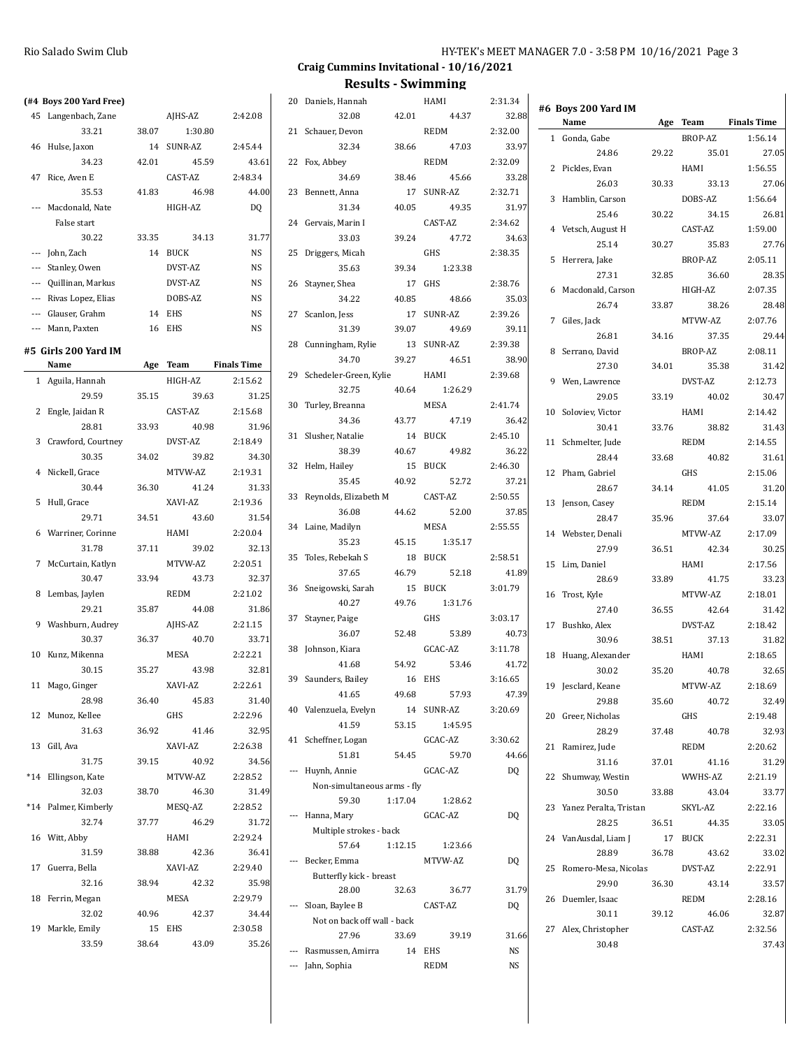#### Rio Salado Swim Club **HY-TEK's MEET MANAGER 7.0 - 3:58 PM 10/16/2021** Page 3

## **Craig Cummins Invitational - 10/16/2021**

|                         |       |            |                    |                             |         | Results - SWIMMING |           |                           |       |                |                    |
|-------------------------|-------|------------|--------------------|-----------------------------|---------|--------------------|-----------|---------------------------|-------|----------------|--------------------|
| (#4 Boys 200 Yard Free) |       |            |                    | 20 Daniels, Hannah          |         | HAMI               | 2:31.34   | #6 Boys 200 Yard IM       |       |                |                    |
| 45 Langenbach, Zane     |       | AJHS-AZ    | 2:42.08            | 32.08                       | 42.01   | 44.37              | 32.88     | Name                      |       | Age Team       | <b>Finals Time</b> |
| 33.21                   | 38.07 | 1:30.80    |                    | 21 Schauer, Devon           |         | <b>REDM</b>        | 2:32.00   | 1 Gonda, Gabe             |       | BROP-AZ        | 1:56.14            |
| 46 Hulse, Jaxon         |       | 14 SUNR-AZ | 2:45.44            | 32.34                       | 38.66   | 47.03              | 33.97     | 24.86                     | 29.22 | 35.01          | 27.05              |
| 34.23                   | 42.01 | 45.59      | 43.61              | 22 Fox, Abbey               |         | <b>REDM</b>        | 2:32.09   | 2 Pickles, Evan           |       | HAMI           | 1:56.55            |
| 47 Rice, Aven E         |       | CAST-AZ    | 2:48.34            | 34.69                       | 38.46   | 45.66              | 33.28     | 26.03                     | 30.33 | 33.13          | 27.06              |
| 35.53                   | 41.83 | 46.98      | 44.00              | 23 Bennett, Anna            |         | 17 SUNR-AZ         | 2.32.71   | 3 Hamblin, Carson         |       | DOBS-AZ        | 1:56.64            |
| --- Macdonald, Nate     |       | HIGH-AZ    | D <sub>0</sub>     | 31.34                       | 40.05   | 49.35              | 31.97     | 25.46                     | 30.22 | 34.15          | 26.81              |
| False start             |       |            |                    | 24 Gervais, Marin I         |         | CAST-AZ            | 2:34.62   |                           |       |                |                    |
| 30.22                   | 33.35 | 34.13      | 31.77              | 33.03                       | 39.24   | 47.72              | 34.63     | 4 Vetsch, August H        |       | CAST-AZ        | 1:59.00            |
| --- John, Zach          |       | 14 BUCK    | NS                 | 25 Driggers, Micah          |         | GHS                | 2:38.35   | 25.14                     | 30.27 | 35.83          | 27.76              |
| --- Stanley, Owen       |       | DVST-AZ    | <b>NS</b>          | 35.63                       | 39.34   | 1:23.38            |           | 5 Herrera, Jake           |       | <b>BROP-AZ</b> | 2:05.11            |
| Quillinan, Markus       |       | DVST-AZ    | NS                 | 26 Stayner, Shea            |         | 17 GHS             | 2:38.76   | 27.31                     | 32.85 | 36.60          | 28.35              |
| Rivas Lopez, Elias      |       | DOBS-AZ    | NS                 | 34.22                       | 40.85   | 48.66              | 35.03     | 6 Macdonald, Carson       |       | HIGH-AZ        | 2:07.35            |
| Glauser, Grahm          |       | 14 EHS     | <b>NS</b>          | 27 Scanlon, Jess            |         | 17 SUNR-AZ         | 2:39.26   | 26.74                     | 33.87 | 38.26          | 28.48              |
| --- Mann, Paxten        |       | 16 EHS     | <b>NS</b>          | 31.39                       | 39.07   | 49.69              | 39.11     | 7 Giles, Jack             |       | MTVW-AZ        | 2:07.76            |
|                         |       |            |                    | 28 Cunningham, Rylie        |         | 13 SUNR-AZ         | 2:39.38   | 26.81                     | 34.16 | 37.35          | 29.44              |
| #5  Girls 200 Yard IM   |       |            |                    | 34.70                       | 39.27   | 46.51              | 38.90     | 8 Serrano, David          |       | BROP-AZ        | 2:08.11            |
| Name                    |       | Age Team   | <b>Finals Time</b> | 29 Schedeler-Green, Kylie   |         | HAMI               | 2:39.68   | 27.30                     | 34.01 | 35.38          | 31.42              |
| 1 Aguila, Hannah        |       | HIGH-AZ    | 2:15.62            | 32.75                       | 40.64   | 1:26.29            |           | 9 Wen, Lawrence           |       | DVST-AZ        | 2:12.73            |
| 29.59                   | 35.15 | 39.63      | 31.25              | 30 Turley, Breanna          |         | <b>MESA</b>        | 2:41.74   | 29.05                     | 33.19 | 40.02          | 30.47              |
| 2 Engle, Jaidan R       |       | CAST-AZ    | 2:15.68            |                             | 43.77   | 47.19              | 36.42     | 10 Soloviev, Victor       |       | HAMI           | 2:14.42            |
| 28.81                   | 33.93 | 40.98      | 31.96              | 34.36                       |         |                    |           | 30.41                     | 33.76 | 38.82          | 31.43              |
| 3 Crawford, Courtney    |       | DVST-AZ    | 2:18.49            | 31 Slusher, Natalie         |         | 14 BUCK            | 2:45.10   | 11 Schmelter, Jude        |       | <b>REDM</b>    | 2:14.55            |
| 30.35                   | 34.02 | 39.82      | 34.30              | 38.39                       | 40.67   | 49.82              | 36.22     | 28.44                     | 33.68 | 40.82          | 31.61              |
| 4 Nickell, Grace        |       | MTVW-AZ    | 2:19.31            | 32 Helm, Hailey             |         | 15 BUCK            | 2:46.30   | 12 Pham, Gabriel          |       | GHS            | 2:15.06            |
| 30.44                   | 36.30 | 41.24      | 31.33              | 35.45                       | 40.92   | 52.72              | 37.21     | 28.67                     | 34.14 | 41.05          | 31.20              |
| 5 Hull, Grace           |       | XAVI-AZ    | 2:19.36            | 33 Reynolds, Elizabeth M    |         | CAST-AZ            | 2:50.55   | 13 Jenson, Casey          |       | REDM           | 2:15.14            |
| 29.71                   | 34.51 | 43.60      | 31.54              | 36.08                       | 44.62   | 52.00              | 37.85     | 28.47                     | 35.96 | 37.64          | 33.07              |
| 6 Warriner, Corinne     |       | HAMI       | 2:20.04            | 34 Laine, Madilyn           |         | MESA               | 2:55.55   | 14 Webster, Denali        |       | MTVW-AZ        | 2:17.09            |
| 31.78                   | 37.11 | 39.02      | 32.13              | 35.23                       | 45.15   | 1:35.17            |           | 27.99                     | 36.51 | 42.34          | 30.25              |
| 7 McCurtain, Katlyn     |       | MTVW-AZ    | 2:20.51            | 35 Toles, Rebekah S         |         | 18 BUCK            | 2:58.51   | 15 Lim, Daniel            |       | HAMI           | 2:17.56            |
| 30.47                   | 33.94 | 43.73      | 32.37              | 37.65                       | 46.79   | 52.18              | 41.89     | 28.69                     | 33.89 | 41.75          | 33.23              |
| 8 Lembas, Jaylen        |       | REDM       | 2:21.02            | 36 Sneigowski, Sarah        |         | 15 BUCK            | 3:01.79   | 16 Trost, Kyle            |       | MTVW-AZ        | 2:18.01            |
| 29.21                   | 35.87 | 44.08      | 31.86              | 40.27                       | 49.76   | 1:31.76            |           | 27.40                     | 36.55 | 42.64          | 31.42              |
| 9 Washburn, Audrey      |       | AJHS-AZ    | 2:21.15            | 37 Stayner, Paige           |         | GHS                | 3:03.17   | 17 Bushko, Alex           |       | DVST-AZ        | 2:18.42            |
| 30.37                   | 36.37 | 40.70      | 33.71              | 36.07                       | 52.48   | 53.89              | 40.73     | 30.96                     | 38.51 | 37.13          | 31.82              |
| 10 Kunz, Mikenna        |       | MESA       | 2:22.21            | 38 Johnson, Kiara           |         | GCAC-AZ            | 3:11.78   | 18 Huang, Alexander       |       | HAMI           | 2:18.65            |
| 30.15                   | 35.27 | 43.98      | 32.81              | 41.68                       | 54.92   | 53.46              | 41.72     | 30.02                     | 35.20 | 40.78          | 32.65              |
| 11 Mago, Ginger         |       | XAVI-AZ    | 2:22.61            | 39 Saunders, Bailey         |         | 16 EHS             | 3:16.65   | 19 Jesclard, Keane        |       | MTVW-AZ        | 2:18.69            |
| 28.98                   | 36.40 | 45.83      | 31.40              | 41.65                       | 49.68   | 57.93              | 47.39     | 29.88                     | 35.60 | 40.72          | 32.49              |
| 12 Munoz, Kellee        |       | GHS        | 2:22.96            | 40 Valenzuela, Evelyn       |         | 14 SUNR-AZ         | 3:20.69   | 20 Greer, Nicholas        |       | GHS            | 2:19.48            |
| 31.63                   | 36.92 | 41.46      | 32.95              | 41.59                       | 53.15   | 1:45.95            |           |                           |       |                |                    |
|                         |       |            |                    | 41 Scheffner, Logan         |         | GCAC-AZ            | 3:30.62   | 28.29                     | 37.48 | 40.78          | 32.93              |
| 13 Gill, Ava            |       | XAVI-AZ    | 2:26.38            | 51.81                       | 54.45   | 59.70              | 44.66     | 21 Ramirez, Jude          |       | REDM           | 2:20.62            |
| 31.75                   | 39.15 | 40.92      | 34.56              | --- Huynh, Annie            |         | GCAC-AZ            | <b>DQ</b> | 31.16                     | 37.01 | 41.16          | 31.29              |
| *14 Ellingson, Kate     |       | MTVW-AZ    | 2:28.52            | Non-simultaneous arms - fly |         |                    |           | 22 Shumway, Westin        |       | WWHS-AZ        | 2:21.19            |
| 32.03                   | 38.70 | 46.30      | 31.49              | 59.30                       | 1:17.04 | 1:28.62            |           | 30.50                     | 33.88 | 43.04          | 33.77              |
| *14 Palmer, Kimberly    |       | MESQ-AZ    | 2:28.52            | --- Hanna, Mary             |         | GCAC-AZ            | DQ        | 23 Yanez Peralta, Tristan |       | SKYL-AZ        | 2:22.16            |
| 32.74                   | 37.77 | 46.29      | 31.72              | Multiple strokes - back     |         |                    |           | 28.25                     | 36.51 | 44.35          | 33.05              |
| 16 Witt, Abby           |       | HAMI       | 2:29.24            | 57.64                       | 1:12.15 | 1:23.66            |           | 24 VanAusdal, Liam J      |       | 17 BUCK        | 2:22.31            |
| 31.59                   | 38.88 | 42.36      | 36.41              | --- Becker, Emma            |         | MTVW-AZ            | DQ        | 28.89                     | 36.78 | 43.62          | 33.02              |
| 17 Guerra, Bella        |       | XAVI-AZ    | 2:29.40            | Butterfly kick - breast     |         |                    |           | 25 Romero-Mesa, Nicolas   |       | DVST-AZ        | 2:22.91            |
| 32.16                   | 38.94 | 42.32      | 35.98              | 28.00                       | 32.63   | 36.77              | 31.79     | 29.90                     | 36.30 | 43.14          | 33.57              |
| 18 Ferrin, Megan        |       | MESA       | 2:29.79            | --- Sloan, Baylee B         |         | CAST-AZ            | DQ        | 26 Duemler, Isaac         |       | REDM           | 2:28.16            |
| 32.02                   | 40.96 | 42.37      | 34.44              | Not on back off wall - back |         |                    |           | 30.11                     | 39.12 | 46.06          | 32.87              |
| 19 Markle, Emily        |       | 15 EHS     | 2:30.58            | 27.96                       | 33.69   | 39.19              | 31.66     | 27 Alex, Christopher      |       | CAST-AZ        | 2:32.56            |
| 33.59                   | 38.64 | 43.09      | 35.26              | --- Rasmussen, Amirra       | 14 EHS  |                    | NS        | 30.48                     |       |                | 37.43              |
|                         |       |            |                    |                             |         |                    | <b>NS</b> |                           |       |                |                    |
|                         |       |            |                    | --- Jahn, Sophia            |         | REDM               |           |                           |       |                |                    |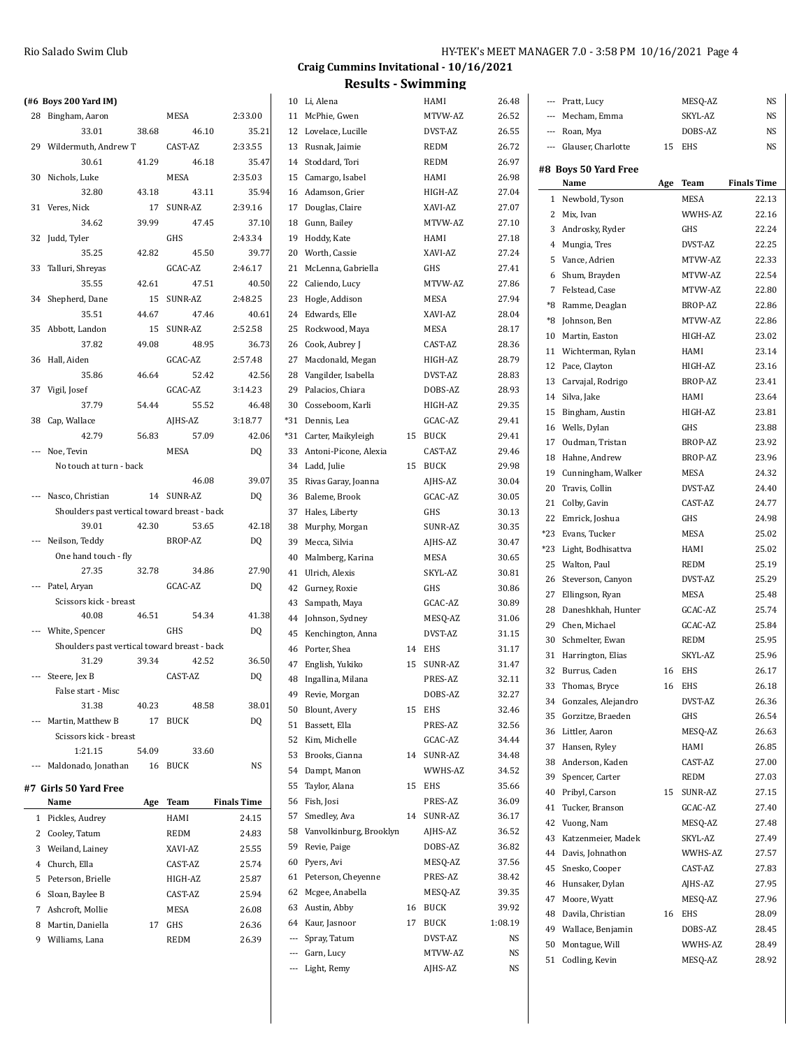|     | (#6 Boys 200 Yard IM)                        |       |             |         |
|-----|----------------------------------------------|-------|-------------|---------|
| 28  | Bingham, Aaron                               |       | MESA        | 2:33.00 |
|     | 33.01                                        | 38.68 | 46.10       | 35.21   |
|     | 29 Wildermuth, Andrew T                      |       | CAST-AZ     | 2:33.55 |
|     | 30.61                                        | 41.29 | 46.18       | 35.47   |
| 30  | Nichols, Luke                                |       | <b>MESA</b> | 2:35.03 |
|     | 32.80                                        | 43.18 | 43.11       | 35.94   |
|     | 31 Veres, Nick                               | 17    | SUNR-AZ     | 2:39.16 |
|     | 34.62                                        | 39.99 | 47.45       | 37.10   |
| 32  | Judd, Tyler                                  |       | GHS         | 2:43.34 |
|     | 35.25                                        | 42.82 | 45.50       | 39.77   |
| 33  | Talluri, Shreyas                             |       | GCAC-AZ     | 2:46.17 |
|     | 35.55                                        | 42.61 | 47.51       | 40.50   |
|     | 34 Shepherd, Dane                            | 15    | SUNR-AZ     | 2:48.25 |
|     | 35.51                                        | 44.67 | 47.46       | 40.61   |
|     | 35 Abbott, Landon                            | 15    | SUNR-AZ     | 2:52.58 |
|     | 37.82                                        | 49.08 | 48.95       | 36.73   |
| 36  | Hall, Aiden                                  |       | GCAC-AZ     | 2:57.48 |
|     | 35.86                                        | 46.64 | 52.42       | 42.56   |
|     | 37 Vigil, Josef                              |       | GCAC-AZ     | 3:14.23 |
|     | 37.79                                        | 54.44 | 55.52       | 46.48   |
|     | 38 Cap, Wallace                              |       | AJHS-AZ     | 3:18.77 |
|     | 42.79                                        | 56.83 | 57.09       | 42.06   |
|     | --- Noe, Tevin                               |       | MESA        | DQ      |
|     | No touch at turn - back                      |       |             |         |
|     |                                              |       | 46.08       | 39.07   |
|     | --- Nasco, Christian                         |       | 14 SUNR-AZ  | DQ      |
|     | Shoulders past vertical toward breast - back |       |             |         |
|     | 39.01                                        | 42.30 | 53.65       | 42.18   |
|     | Neilson, Teddy                               |       | BROP-AZ     | DQ      |
|     | One hand touch - fly                         |       |             |         |
|     | 27.35                                        | 32.78 | 34.86       | 27.90   |
| --- | Patel, Aryan                                 |       | GCAC-AZ     | DQ      |
|     | Scissors kick - breast<br>40.08              | 46.51 | 54.34       | 41.38   |
|     | --- White, Spencer                           |       | GHS         | DQ      |
|     | Shoulders past vertical toward breast - back |       |             |         |
|     | 31.29                                        | 39.34 | 42.52       | 36.50   |
|     | Steere, Jex B                                |       | CAST-AZ     | DQ      |
|     | False start - Misc                           |       |             |         |
|     | 31.38                                        | 40.23 | 48.58       | 38.01   |
| --- | Martin, Matthew B                            | 17    | <b>BUCK</b> | DQ      |
|     | Scissors kick - breast                       |       |             |         |
|     | 1:21.15                                      | 54.09 | 33.60       |         |
|     | --- Maldonado, Jonathan                      | 16    | <b>BUCK</b> | NS      |
|     | $+7$ Cirls $-0$ Vand Free                    |       |             |         |
|     |                                              |       |             |         |

| #7  Girls 50 Yard Free |  |  |
|------------------------|--|--|
|                        |  |  |

|   | Name                | Age | Team        | <b>Finals Time</b> |
|---|---------------------|-----|-------------|--------------------|
| 1 | Pickles, Audrey     |     | HAMI        | 24.15              |
| 2 | Cooley, Tatum       |     | <b>REDM</b> | 24.83              |
| 3 | Weiland, Lainey     |     | XAVI-AZ     | 25.55              |
| 4 | Church. Ella        |     | CAST-AZ     | 25.74              |
|   | 5 Peterson, Brielle |     | HIGH-AZ     | 25.87              |
| 6 | Sloan, Baylee B     |     | CAST-AZ     | 25.94              |
|   | Ashcroft. Mollie    |     | <b>MESA</b> | 26.08              |
| 8 | Martin, Daniella    | 17  | <b>GHS</b>  | 26.36              |
| 9 | Williams, Lana      |     | <b>REDM</b> | 26.39              |
|   |                     |     |             |                    |

**Craig Cummins Invitational - 10/16/2021**

**Results - Swimming**

--- Light, Remy AJHS-AZ NS

|       | 10 Li, Alena            |    | HAMI        | 26.48   |            | --- Pratt, Lucy                     |     | MESQ-AZ      | NS                 |
|-------|-------------------------|----|-------------|---------|------------|-------------------------------------|-----|--------------|--------------------|
| 11    | McPhie, Gwen            |    | MTVW-AZ     | 26.52   | ---        | Mecham, Emma                        |     | SKYL-AZ      | <b>NS</b>          |
| 12    | Lovelace, Lucille       |    | DVST-AZ     | 26.55   | ---        | Roan, Mya                           |     | DOBS-AZ      | <b>NS</b>          |
| 13    | Rusnak, Jaimie          |    | <b>REDM</b> | 26.72   | ---        | Glauser, Charlotte                  | 15  | EHS          | NS                 |
| 14    | Stoddard, Tori          |    | <b>REDM</b> | 26.97   |            |                                     |     |              |                    |
| 15    | Camargo, Isabel         |    | HAMI        | 26.98   |            | #8 Boys 50 Yard Free                |     |              | <b>Finals Time</b> |
| 16    | Adamson, Grier          |    | HIGH-AZ     | 27.04   |            | Name                                | Age | <b>Team</b>  |                    |
| 17    | Douglas, Claire         |    | XAVI-AZ     | 27.07   |            | 1 Newbold, Tyson                    |     | <b>MESA</b>  | 22.13              |
| 18    | Gunn, Bailey            |    | MTVW-AZ     | 27.10   |            | 2 Mix, Ivan                         |     | WWHS-AZ      | 22.16              |
| 19    | Hoddy, Kate             |    | HAMI        | 27.18   | 3          | Androsky, Ryder                     |     | GHS          | 22.24              |
| 20    | Worth, Cassie           |    | XAVI-AZ     | 27.24   | 4          | Mungia, Tres                        |     | DVST-AZ      | 22.25              |
| 21    | McLenna, Gabriella      |    | GHS         | 27.41   | 5          | Vance, Adrien                       |     | MTVW-AZ      | 22.33              |
| 22    | Caliendo, Lucy          |    | MTVW-AZ     | 27.86   | 6          | Shum, Brayden                       |     | MTVW-AZ      | 22.54              |
| 23    | Hogle, Addison          |    | MESA        | 27.94   | 7          | Felstead, Case                      |     | MTVW-AZ      | 22.80              |
| 24    | Edwards, Elle           |    | XAVI-AZ     | 28.04   | *8         | Ramme, Deaglan                      |     | BROP-AZ      | 22.86              |
| 25    | Rockwood, Maya          |    | MESA        | 28.17   | *8         | Johnson, Ben                        |     | MTVW-AZ      | 22.86              |
| 26    | Cook, Aubrey J          |    | CAST-AZ     | 28.36   | 10         | Martin, Easton                      |     | HIGH-AZ      | 23.02              |
| 27    | Macdonald, Megan        |    | HIGH-AZ     | 28.79   | 11         | Wichterman, Rylan                   |     | HAMI         | 23.14              |
| 28    | Vangilder, Isabella     |    | DVST-AZ     | 28.83   |            | 12 Pace, Clayton                    |     | HIGH-AZ      | 23.16              |
| 29    | Palacios, Chiara        |    | DOBS-AZ     | 28.93   | 13         | Carvajal, Rodrigo                   |     | BROP-AZ      | 23.41              |
| 30    | Cosseboom, Karli        |    | HIGH-AZ     | 29.35   | 14         | Silva, Jake                         |     | HAMI         | 23.64              |
| $*31$ | Dennis, Lea             |    | GCAC-AZ     | 29.41   | 15         | Bingham, Austin                     |     | HIGH-AZ      | 23.81              |
| *31   | Carter, Maikyleigh      | 15 | BUCK        | 29.41   | 16         | Wells, Dylan                        |     | GHS          | 23.88              |
| 33    | Antoni-Picone, Alexia   |    | CAST-AZ     | 29.46   | 17         | Oudman, Tristan                     |     | BROP-AZ      | 23.92              |
| 34    | Ladd, Julie             |    | 15 BUCK     | 29.98   | 18         | Hahne, Andrew                       |     | BROP-AZ      | 23.96              |
| 35    | Rivas Garay, Joanna     |    | AJHS-AZ     | 30.04   | 19         | Cunningham, Walker                  |     | MESA         | 24.32              |
| 36    | Baleme, Brook           |    | GCAC-AZ     | 30.05   | 20         | Travis, Collin                      |     | DVST-AZ      | 24.40              |
| 37    | Hales, Liberty          |    | GHS         | 30.13   | 21         | Colby, Gavin                        |     | CAST-AZ      | 24.77              |
| 38    | Murphy, Morgan          |    | SUNR-AZ     | 30.35   | 22         | Emrick, Joshua                      |     | GHS          | 24.98              |
| 39    | Mecca, Silvia           |    | AJHS-AZ     | 30.47   | *23<br>*23 | Evans, Tucker<br>Light, Bodhisattva |     | MESA<br>HAMI | 25.02<br>25.02     |
| 40    | Malmberg, Karina        |    | MESA        | 30.65   | 25         | Walton, Paul                        |     | REDM         | 25.19              |
| 41    | Ulrich, Alexis          |    | SKYL-AZ     | 30.81   | 26         | Steverson, Canyon                   |     | DVST-AZ      | 25.29              |
| 42    | Gurney, Roxie           |    | GHS         | 30.86   | 27         | Ellingson, Ryan                     |     | MESA         | 25.48              |
| 43    | Sampath, Maya           |    | GCAC-AZ     | 30.89   | 28         | Daneshkhah, Hunter                  |     | GCAC-AZ      | 25.74              |
| 44    | Johnson, Sydney         |    | MESQ-AZ     | 31.06   | 29         | Chen, Michael                       |     | GCAC-AZ      | 25.84              |
| 45    | Kenchington, Anna       |    | DVST-AZ     | 31.15   | 30         | Schmelter, Ewan                     |     | <b>REDM</b>  | 25.95              |
| 46    | Porter, Shea            | 14 | EHS         | 31.17   |            | 31 Harrington, Elias                |     | SKYL-AZ      | 25.96              |
| 47    | English, Yukiko         | 15 | SUNR-AZ     | 31.47   |            | 32 Burrus, Caden                    |     | 16 EHS       | 26.17              |
| 48    | Ingallina, Milana       |    | PRES-AZ     | 32.11   |            | 33 Thomas, Bryce                    |     | 16 EHS       | 26.18              |
| 49    | Revie, Morgan           |    | DOBS-AZ     | 32.27   |            | 34 Gonzales, Alejandro              |     | DVST-AZ      | 26.36              |
| 50    | Blount, Avery           | 15 | EHS         | 32.46   |            | 35 Gorzitze, Braeden                |     | GHS          | 26.54              |
| 51    | Bassett, Ella           |    | PRES-AZ     | 32.56   |            | 36 Littler, Aaron                   |     | MESQ-AZ      | 26.63              |
| 52    | Kim, Michelle           |    | GCAC-AZ     | 34.44   | 37         | Hansen, Ryley                       |     | HAMI         | 26.85              |
| 53    | Brooks, Cianna          |    | 14 SUNR-AZ  | 34.48   | 38         | Anderson, Kaden                     |     | CAST-AZ      | 27.00              |
| 54    | Dampt, Manon            |    | WWHS-AZ     | 34.52   | 39         | Spencer, Carter                     |     | <b>REDM</b>  | 27.03              |
| 55    | Taylor, Alana           |    | 15 EHS      | 35.66   | 40         | Pribyl, Carson                      | 15  | SUNR-AZ      | 27.15              |
| 56    | Fish, Josi              |    | PRES-AZ     | 36.09   | 41         | Tucker, Branson                     |     | GCAC-AZ      | 27.40              |
| 57    | Smedley, Ava            | 14 | SUNR-AZ     | 36.17   | 42         | Vuong, Nam                          |     | MESQ-AZ      | 27.48              |
| 58    | Vanvolkinburg, Brooklyn |    | AJHS-AZ     | 36.52   | 43         | Katzenmeier, Madek                  |     | SKYL-AZ      | 27.49              |
| 59    | Revie, Paige            |    | DOBS-AZ     | 36.82   | 44         | Davis, Johnathon                    |     | WWHS-AZ      | 27.57              |
| 60    | Pyers, Avi              |    | MESQ-AZ     | 37.56   | 45         | Snesko, Cooper                      |     | CAST-AZ      | 27.83              |
| 61    | Peterson, Cheyenne      |    | PRES-AZ     | 38.42   | 46         | Hunsaker, Dylan                     |     | AJHS-AZ      | 27.95              |
| 62    | Mcgee, Anabella         |    | MESQ-AZ     | 39.35   | 47         | Moore, Wyatt                        |     | MESQ-AZ      | 27.96              |
| 63    | Austin, Abby            | 16 | BUCK        | 39.92   | 48         | Davila, Christian                   |     | 16 EHS       | 28.09              |
| 64    | Kaur, Jasnoor           | 17 | BUCK        | 1:08.19 | 49         | Wallace, Benjamin                   |     | DOBS-AZ      | 28.45              |
|       | Spray, Tatum            |    | DVST-AZ     | NS      | 50         | Montague, Will                      |     | WWHS-AZ      | 28.49              |
|       | Garn, Lucy              |    | MTVW-AZ     | NS      |            | 51 Codling, Kevin                   |     | MESQ-AZ      | 28.92              |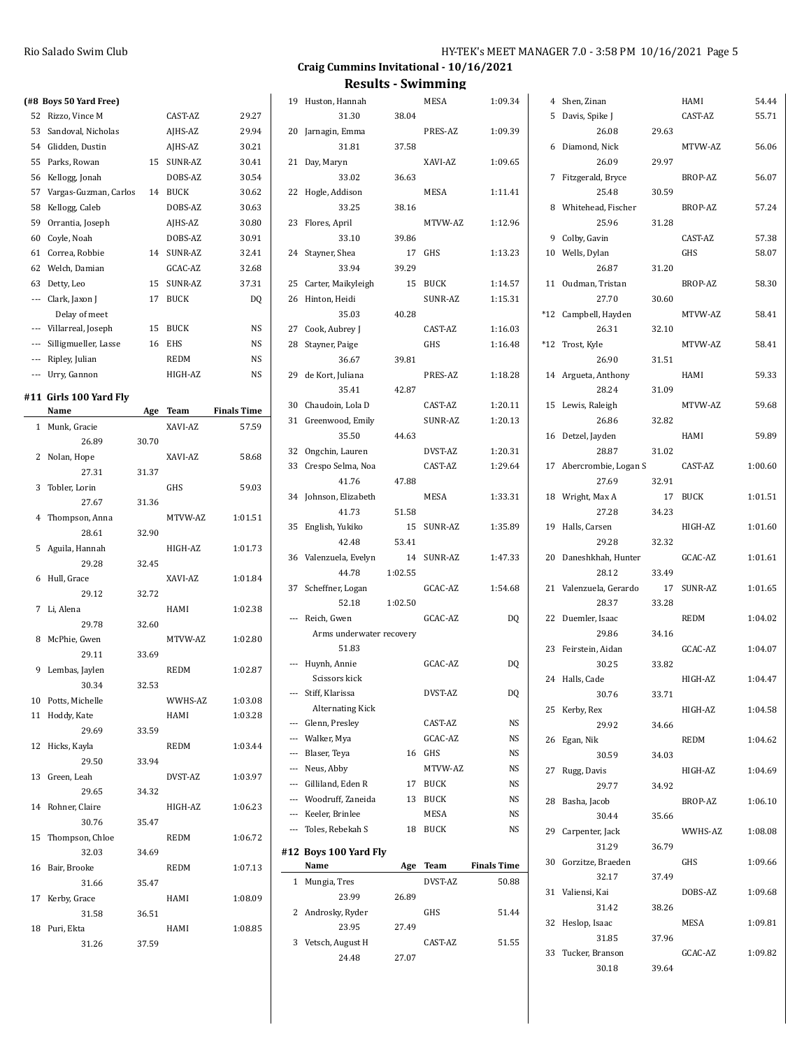| HY-TEK's MEET MANAGER 7.0 - 3:58 PM 10/16/2021 Page 5 |  |  |
|-------------------------------------------------------|--|--|
|-------------------------------------------------------|--|--|

30.18 39.64

#### **Craig Cummins Invitational - 10/16/2021**

| (#8 Boys 50 Yard Free)   |       |            |                    | 19 Huston, Hannah        |         | MESA       | 1:09.34            | 4 Shen, Zinan           |       | HAMI       | 54.44   |
|--------------------------|-------|------------|--------------------|--------------------------|---------|------------|--------------------|-------------------------|-------|------------|---------|
| 52 Rizzo, Vince M        |       | CAST-AZ    | 29.27              | 31.30                    | 38.04   |            |                    | 5 Davis, Spike J        |       | CAST-AZ    | 55.71   |
| 53 Sandoval, Nicholas    |       | AJHS-AZ    | 29.94              | 20 Jarnagin, Emma        |         | PRES-AZ    | 1:09.39            | 26.08                   | 29.63 |            |         |
| 54 Glidden, Dustin       |       | AJHS-AZ    | 30.21              | 31.81                    | 37.58   |            |                    | 6 Diamond, Nick         |       | MTVW-AZ    | 56.06   |
| 55 Parks, Rowan          |       | 15 SUNR-AZ | 30.41              | 21 Day, Maryn            |         | XAVI-AZ    | 1:09.65            | 26.09                   | 29.97 |            |         |
| 56 Kellogg, Jonah        |       | DOBS-AZ    | 30.54              | 33.02                    | 36.63   |            |                    | 7 Fitzgerald, Bryce     |       | BROP-AZ    | 56.07   |
| 57 Vargas-Guzman, Carlos |       | 14 BUCK    | 30.62              | 22 Hogle, Addison        |         | MESA       | 1:11.41            | 25.48                   | 30.59 |            |         |
| 58 Kellogg, Caleb        |       | DOBS-AZ    | 30.63              | 33.25                    | 38.16   |            |                    | 8 Whitehead, Fischer    |       | BROP-AZ    | 57.24   |
| 59 Orrantia, Joseph      |       | AJHS-AZ    | 30.80              | 23 Flores, April         |         | MTVW-AZ    | 1:12.96            | 25.96                   | 31.28 |            |         |
| 60 Coyle, Noah           |       | DOBS-AZ    | 30.91              | 33.10                    | 39.86   |            |                    | 9 Colby, Gavin          |       | CAST-AZ    | 57.38   |
|                          |       |            |                    |                          |         |            |                    |                         |       |            |         |
| 61 Correa, Robbie        |       | 14 SUNR-AZ | 32.41              | 24 Stayner, Shea         |         | 17 GHS     | 1:13.23            | 10 Wells, Dylan         |       | GHS        | 58.07   |
| 62 Welch, Damian         |       | GCAC-AZ    | 32.68              | 33.94                    | 39.29   |            |                    | 26.87                   | 31.20 |            |         |
| 63 Detty, Leo            |       | 15 SUNR-AZ | 37.31              | 25 Carter, Maikyleigh    |         | 15 BUCK    | 1:14.57            | 11 Oudman, Tristan      |       | BROP-AZ    | 58.30   |
| --- Clark, Jaxon J       |       | 17 BUCK    | DQ                 | 26 Hinton, Heidi         |         | SUNR-AZ    | 1:15.31            | 27.70                   | 30.60 |            |         |
| Delay of meet            |       |            |                    | 35.03                    | 40.28   |            |                    | *12 Campbell, Hayden    |       | MTVW-AZ    | 58.41   |
| --- Villarreal, Joseph   |       | 15 BUCK    | NS                 | 27 Cook, Aubrey J        |         | CAST-AZ    | 1:16.03            | 26.31                   | 32.10 |            |         |
| Silligmueller, Lasse     |       | 16 EHS     | NS                 | 28 Stayner, Paige        |         | GHS        | 1:16.48            | *12 Trost, Kyle         |       | MTVW-AZ    | 58.41   |
| --- Ripley, Julian       |       | REDM       | NS                 | 36.67                    | 39.81   |            |                    | 26.90                   | 31.51 |            |         |
| --- Urry, Gannon         |       | HIGH-AZ    | NS                 | 29 de Kort, Juliana      |         | PRES-AZ    | 1:18.28            | 14 Argueta, Anthony     |       | HAMI       | 59.33   |
| #11  Girls 100 Yard Fly  |       |            |                    | 35.41                    | 42.87   |            |                    | 28.24                   | 31.09 |            |         |
| Name                     |       | Age Team   | <b>Finals Time</b> | 30 Chaudoin, Lola D      |         | CAST-AZ    | 1:20.11            | 15 Lewis, Raleigh       |       | MTVW-AZ    | 59.68   |
| 1 Munk, Gracie           |       | XAVI-AZ    | 57.59              | 31 Greenwood, Emily      |         | SUNR-AZ    | 1:20.13            | 26.86                   | 32.82 |            |         |
| 26.89                    | 30.70 |            |                    | 35.50                    | 44.63   |            |                    | 16 Detzel, Jayden       |       | HAMI       | 59.89   |
| 2 Nolan, Hope            |       | XAVI-AZ    | 58.68              | 32 Ongchin, Lauren       |         | DVST-AZ    | 1:20.31            | 28.87                   | 31.02 |            |         |
|                          |       |            |                    | 33 Crespo Selma, Noa     |         | CAST-AZ    | 1:29.64            | 17 Abercrombie, Logan S |       | CAST-AZ    | 1:00.60 |
| 27.31                    | 31.37 |            |                    | 41.76                    | 47.88   |            |                    | 27.69                   | 32.91 |            |         |
| 3 Tobler, Lorin          |       | GHS        | 59.03              | 34 Johnson, Elizabeth    |         | MESA       | 1:33.31            | 18 Wright, Max A        |       | 17 BUCK    | 1:01.51 |
| 27.67                    | 31.36 |            |                    | 41.73                    | 51.58   |            |                    | 27.28                   | 34.23 |            |         |
| 4 Thompson, Anna         |       | MTVW-AZ    | 1:01.51            | 35 English, Yukiko       |         | 15 SUNR-AZ | 1:35.89            | 19 Halls, Carsen        |       | HIGH-AZ    | 1:01.60 |
| 28.61                    | 32.90 |            |                    | 42.48                    | 53.41   |            |                    | 29.28                   | 32.32 |            |         |
| 5 Aguila, Hannah         |       | HIGH-AZ    | 1:01.73            | 36 Valenzuela, Evelyn    |         | 14 SUNR-AZ | 1:47.33            | 20 Daneshkhah, Hunter   |       | GCAC-AZ    | 1:01.61 |
| 29.28                    | 32.45 |            |                    | 44.78                    | 1:02.55 |            |                    | 28.12                   | 33.49 |            |         |
| 6 Hull, Grace            |       | XAVI-AZ    | 1:01.84            | 37 Scheffner, Logan      |         | GCAC-AZ    | 1:54.68            | 21 Valenzuela, Gerardo  |       | 17 SUNR-AZ | 1:01.65 |
| 29.12                    | 32.72 |            |                    | 52.18                    | 1:02.50 |            |                    | 28.37                   | 33.28 |            |         |
| 7 Li, Alena              |       | HAMI       | 1:02.38            |                          |         |            |                    |                         |       |            |         |
| 29.78                    | 32.60 |            |                    | --- Reich, Gwen          |         | GCAC-AZ    | <b>DQ</b>          | 22 Duemler, Isaac       |       | REDM       | 1:04.02 |
| 8 McPhie, Gwen           |       | MTVW-AZ    | 1:02.80            | Arms underwater recovery |         |            |                    | 29.86                   | 34.16 |            |         |
| 29.11                    | 33.69 |            |                    | 51.83                    |         |            |                    | 23 Feirstein, Aidan     |       | GCAC-AZ    | 1:04.07 |
| 9 Lembas, Jaylen         |       | REDM       | 1:02.87            | --- Huynh, Annie         |         | GCAC-AZ    | DQ                 | 30.25                   | 33.82 |            |         |
| 30.34                    | 32.53 |            |                    | Scissors kick            |         |            |                    | 24 Halls, Cade          |       | HIGH-AZ    | 1:04.47 |
| 10 Potts, Michelle       |       | WWHS-AZ    | 1:03.08            | --- Stiff, Klarissa      |         | DVST-AZ    | DQ                 | 30.76                   | 33.71 |            |         |
| 11 Hoddy, Kate           |       | HAMI       | 1:03.28            | <b>Alternating Kick</b>  |         |            |                    | 25 Kerby, Rex           |       | HIGH-AZ    | 1:04.58 |
| 29.69                    | 33.59 |            |                    | --- Glenn, Presley       |         | CAST-AZ    | NS                 | 29.92                   | 34.66 |            |         |
| 12 Hicks, Kayla          |       | REDM       | 1:03.44            | --- Walker, Mya          |         | GCAC-AZ    | NS                 | 26 Egan, Nik            |       | REDM       | 1:04.62 |
| 29.50                    | 33.94 |            |                    | --- Blaser, Teva         |         | 16 GHS     | NS                 | 30.59                   | 34.03 |            |         |
| 13 Green, Leah           |       | DVST-AZ    | 1:03.97            | --- Neus, Abby           |         | MTVW-AZ    | NS                 | 27 Rugg, Davis          |       | HIGH-AZ    | 1:04.69 |
| 29.65                    | 34.32 |            |                    | --- Gilliland, Eden R    |         | 17 BUCK    | NS                 | 29.77                   | 34.92 |            |         |
| 14 Rohner, Claire        |       | HIGH-AZ    | 1:06.23            | --- Woodruff, Zaneida    |         | 13 BUCK    | NS                 | 28 Basha, Jacob         |       | BROP-AZ    | 1:06.10 |
| 30.76                    | 35.47 |            |                    | --- Keeler, Brinlee      |         | MESA       | NS                 | 30.44                   | 35.66 |            |         |
|                          |       |            |                    | --- Toles, Rebekah S     |         | 18 BUCK    | NS                 | 29 Carpenter, Jack      |       | WWHS-AZ    | 1:08.08 |
| 15 Thompson, Chloe       |       | REDM       | 1:06.72            |                          |         |            |                    | 31.29                   | 36.79 |            |         |
| 32.03                    | 34.69 |            |                    | #12 Boys 100 Yard Fly    |         |            |                    | 30 Gorzitze, Braeden    |       | GHS        | 1:09.66 |
| 16 Bair, Brooke          |       | REDM       | 1:07.13            | Name                     |         | Age Team   | <b>Finals Time</b> | 32.17                   | 37.49 |            |         |
| 31.66                    | 35.47 |            |                    | 1 Mungia, Tres           |         | DVST-AZ    | 50.88              | 31 Valiensi, Kai        |       | DOBS-AZ    | 1:09.68 |
| 17 Kerby, Grace          |       | HAMI       | 1:08.09            | 23.99                    | 26.89   |            |                    | 31.42                   | 38.26 |            |         |
| 31.58                    | 36.51 |            |                    | 2 Androsky, Ryder        |         | GHS        | 51.44              | 32 Heslop, Isaac        |       | MESA       | 1:09.81 |
| 18 Puri, Ekta            |       | HAMI       | 1:08.85            | 23.95                    | 27.49   |            |                    | 31.85                   | 37.96 |            |         |
| 31.26                    | 37.59 |            |                    | 3 Vetsch, August H       |         | CAST-AZ    | 51.55              | 33 Tucker, Branson      |       | GCAC-AZ    | 1:09.82 |
|                          |       |            |                    | 24.48                    | 27.07   |            |                    |                         |       |            |         |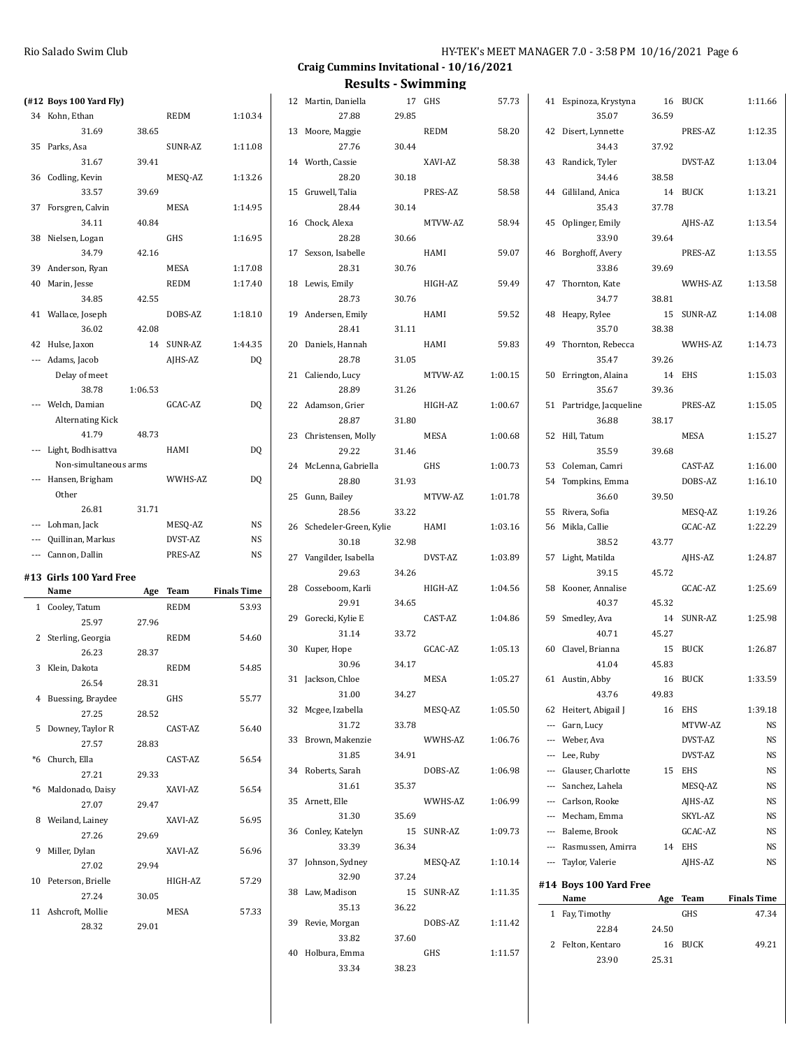| $(412$ Boys 100 Yard Fly     |         |             |                    | 12 Martin, Daniella       |       | 17 GHS      | 57.73   | 41 Espinoza, Krystyna    |       | 16 BUCK    | 1:11.66            |
|------------------------------|---------|-------------|--------------------|---------------------------|-------|-------------|---------|--------------------------|-------|------------|--------------------|
| 34 Kohn, Ethan               |         | REDM        | 1:10.34            | 27.88                     | 29.85 |             |         | 35.07                    | 36.59 |            |                    |
| 31.69                        | 38.65   |             |                    | 13 Moore, Maggie          |       | <b>REDM</b> | 58.20   | 42 Disert, Lynnette      |       | PRES-AZ    | 1:12.35            |
| 35 Parks, Asa                |         | SUNR-AZ     | 1:11.08            | 27.76                     | 30.44 |             |         | 34.43                    | 37.92 |            |                    |
| 31.67                        | 39.41   |             |                    | 14 Worth, Cassie          |       | XAVI-AZ     | 58.38   | 43 Randick, Tyler        |       | DVST-AZ    | 1:13.04            |
| 36 Codling, Kevin            |         | MESQ-AZ     | 1:13.26            | 28.20                     | 30.18 |             |         | 34.46                    | 38.58 |            |                    |
| 33.57                        | 39.69   |             |                    | 15 Gruwell, Talia         |       | PRES-AZ     | 58.58   | 44 Gilliland, Anica      |       | 14 BUCK    | 1:13.21            |
| 37 Forsgren, Calvin          |         | MESA        | 1:14.95            | 28.44                     | 30.14 |             |         | 35.43                    | 37.78 |            |                    |
| 34.11                        | 40.84   |             |                    | 16 Chock, Alexa           |       | MTVW-AZ     | 58.94   | 45 Oplinger, Emily       |       | AJHS-AZ    | 1:13.54            |
| 38 Nielsen, Logan            |         | GHS         | 1:16.95            | 28.28                     | 30.66 |             |         | 33.90                    | 39.64 |            |                    |
| 34.79                        | 42.16   |             |                    | 17 Sexson, Isabelle       |       | HAMI        | 59.07   | 46 Borghoff, Avery       |       | PRES-AZ    | 1:13.55            |
| 39 Anderson, Ryan            |         | MESA        | 1:17.08            | 28.31                     | 30.76 |             |         | 33.86                    | 39.69 |            |                    |
| 40 Marin, Jesse              |         | <b>REDM</b> | 1:17.40            | 18 Lewis, Emily           |       | HIGH-AZ     | 59.49   | 47 Thornton, Kate        |       | WWHS-AZ    | 1:13.58            |
| 34.85                        | 42.55   |             |                    | 28.73                     | 30.76 |             |         | 34.77                    | 38.81 |            |                    |
| 41 Wallace, Joseph           |         | DOBS-AZ     | 1:18.10            | 19 Andersen, Emily        |       | HAMI        | 59.52   | 48 Heapy, Rylee          |       | 15 SUNR-AZ | 1:14.08            |
| 36.02                        | 42.08   |             |                    | 28.41                     | 31.11 |             |         | 35.70                    | 38.38 |            |                    |
| 42 Hulse, Jaxon              |         | 14 SUNR-AZ  | 1:44.35            | 20 Daniels, Hannah        |       | HAMI        | 59.83   | 49 Thornton, Rebecca     |       | WWHS-AZ    | 1:14.73            |
| --- Adams, Jacob             |         | AJHS-AZ     | DQ                 | 28.78                     | 31.05 |             |         | 35.47                    | 39.26 |            |                    |
|                              |         |             |                    |                           |       |             | 1:00.15 |                          |       |            |                    |
| Delay of meet<br>38.78       | 1:06.53 |             |                    | 21 Caliendo, Lucy         |       | MTVW-AZ     |         | 50 Errington, Alaina     |       | 14 EHS     | 1:15.03            |
| --- Welch, Damian            |         |             |                    | 28.89                     | 31.26 |             |         | 35.67                    | 39.36 |            |                    |
|                              |         | GCAC-AZ     | DQ                 | 22 Adamson, Grier         |       | HIGH-AZ     | 1:00.67 | 51 Partridge, Jacqueline |       | PRES-AZ    | 1:15.05            |
| Alternating Kick             |         |             |                    | 28.87                     | 31.80 |             |         | 36.88                    | 38.17 |            |                    |
| 41.79                        | 48.73   |             |                    | 23 Christensen, Molly     |       | MESA        | 1:00.68 | 52 Hill, Tatum           |       | MESA       | 1:15.27            |
| --- Light, Bodhisattva       |         | HAMI        | DQ                 | 29.22                     | 31.46 |             |         | 35.59                    | 39.68 |            |                    |
| Non-simultaneous arms        |         |             |                    | 24 McLenna, Gabriella     |       | GHS         | 1:00.73 | 53 Coleman, Camri        |       | CAST-AZ    | 1:16.00            |
| --- Hansen, Brigham          |         | WWHS-AZ     | DQ                 | 28.80                     | 31.93 |             |         | 54 Tompkins, Emma        |       | DOBS-AZ    | 1:16.10            |
| Other                        |         |             |                    | 25 Gunn, Bailey           |       | MTVW-AZ     | 1:01.78 | 36.60                    | 39.50 |            |                    |
| 26.81                        | 31.71   |             |                    | 28.56                     | 33.22 |             |         | 55 Rivera, Sofia         |       | MESQ-AZ    | 1:19.26            |
| --- Lohman, Jack             |         | MESQ-AZ     | NS                 | 26 Schedeler-Green, Kylie |       | HAMI        | 1:03.16 | 56 Mikla, Callie         |       | GCAC-AZ    | 1:22.29            |
|                              |         |             |                    |                           |       |             |         |                          |       |            |                    |
| --- Quillinan, Markus        |         | DVST-AZ     | NS                 | 30.18                     | 32.98 |             |         | 38.52                    | 43.77 |            |                    |
| --- Cannon, Dallin           |         | PRES-AZ     | NS                 | 27 Vangilder, Isabella    |       | DVST-AZ     | 1:03.89 | 57 Light, Matilda        |       | AJHS-AZ    | 1:24.87            |
| #13 Girls 100 Yard Free      |         |             |                    | 29.63                     | 34.26 |             |         | 39.15                    | 45.72 |            |                    |
| Name                         |         | Age Team    | <b>Finals Time</b> | 28 Cosseboom, Karli       |       | HIGH-AZ     | 1:04.56 | 58 Kooner, Annalise      |       | GCAC-AZ    | 1:25.69            |
| 1 Cooley, Tatum              |         | <b>REDM</b> | 53.93              | 29.91                     | 34.65 |             |         | 40.37                    | 45.32 |            |                    |
| 25.97                        | 27.96   |             |                    | 29 Gorecki, Kylie E       |       | CAST-AZ     | 1:04.86 | 59 Smedley, Ava          |       | 14 SUNR-AZ | 1:25.98            |
|                              |         | <b>REDM</b> | 54.60              | 31.14                     | 33.72 |             |         | 40.71                    | 45.27 |            |                    |
| 2 Sterling, Georgia<br>26.23 | 28.37   |             |                    | 30 Kuper, Hope            |       | GCAC-AZ     | 1:05.13 | 60 Clavel, Brianna       |       | 15 BUCK    | 1:26.87            |
|                              |         |             |                    | 30.96                     | 34.17 |             |         | 41.04                    | 45.83 |            |                    |
| 3 Klein, Dakota              |         | <b>REDM</b> | 54.85              | 31 Jackson, Chloe         |       | MESA        | 1:05.27 | 61 Austin, Abby          |       | 16 BUCK    | 1:33.59            |
| 26.54                        | 28.31   |             |                    | 31.00                     | 34.27 |             |         | 43.76                    | 49.83 |            |                    |
| 4 Buessing, Braydee          |         | GHS         | 55.77              | 32 Mcgee, Izabella        |       | MESQ-AZ     | 1:05.50 | 62 Heitert, Abigail J    |       | 16 EHS     | 1:39.18            |
| 27.25                        | 28.52   |             |                    | 31.72                     | 33.78 |             |         | --- Garn, Lucy           |       | MTVW-AZ    | NS                 |
| 5 Downey, Taylor R           |         | CAST-AZ     | 56.40              | 33 Brown, Makenzie        |       | WWHS-AZ     | 1:06.76 | --- Weber, Ava           |       | DVST-AZ    | <b>NS</b>          |
| 27.57                        | 28.83   |             |                    | 31.85                     | 34.91 |             |         | --- Lee, Ruby            |       | DVST-AZ    | NS                 |
| *6 Church, Ella              |         | CAST-AZ     | 56.54              | 34 Roberts, Sarah         |       | DOBS-AZ     | 1:06.98 | --- Glauser, Charlotte   |       | 15 EHS     | <b>NS</b>          |
| 27.21                        | 29.33   |             |                    | 31.61                     | 35.37 |             |         | --- Sanchez, Lahela      |       | MESQ-AZ    | <b>NS</b>          |
| *6 Maldonado, Daisy          |         | XAVI-AZ     | 56.54              | 35 Arnett, Elle           |       | WWHS-AZ     | 1:06.99 | --- Carlson, Rooke       |       | AJHS-AZ    | <b>NS</b>          |
| 27.07                        | 29.47   |             |                    | 31.30                     | 35.69 |             |         | --- Mecham, Emma         |       | SKYL-AZ    | <b>NS</b>          |
| 8 Weiland, Lainey            |         | XAVI-AZ     | 56.95              | 36 Conley, Katelyn        |       | 15 SUNR-AZ  | 1:09.73 | --- Baleme, Brook        |       | GCAC-AZ    | <b>NS</b>          |
| 27.26                        | 29.69   |             |                    | 33.39                     | 36.34 |             |         | --- Rasmussen, Amirra    |       | 14 EHS     |                    |
| 9 Miller, Dylan              |         | XAVI-AZ     | 56.96              | 37 Johnson, Sydney        |       | MESQ-AZ     | 1:10.14 | --- Taylor, Valerie      |       | AJHS-AZ    | $_{\rm NS}$<br>NS  |
| 27.02                        | 29.94   |             |                    |                           |       |             |         |                          |       |            |                    |
| 10 Peterson, Brielle         |         | HIGH-AZ     | 57.29              | 32.90                     | 37.24 |             |         | #14 Boys 100 Yard Free   |       |            |                    |
| 27.24                        | 30.05   |             |                    | 38 Law, Madison           |       | 15 SUNR-AZ  | 1:11.35 | Name                     |       | Age Team   | <b>Finals Time</b> |
| 11 Ashcroft, Mollie          |         | MESA        | 57.33              | 35.13                     | 36.22 |             |         | 1 Fay, Timothy           |       | GHS        | 47.34              |
| 28.32                        | 29.01   |             |                    | 39 Revie, Morgan          |       | DOBS-AZ     | 1:11.42 | 22.84                    | 24.50 |            |                    |
|                              |         |             |                    | 33.82                     | 37.60 |             |         | 2 Felton, Kentaro        |       | 16 BUCK    | 49.21              |
|                              |         |             |                    | 40 Holbura, Emma<br>33.34 | 38.23 | GHS         | 1:11.57 | 23.90                    | 25.31 |            |                    |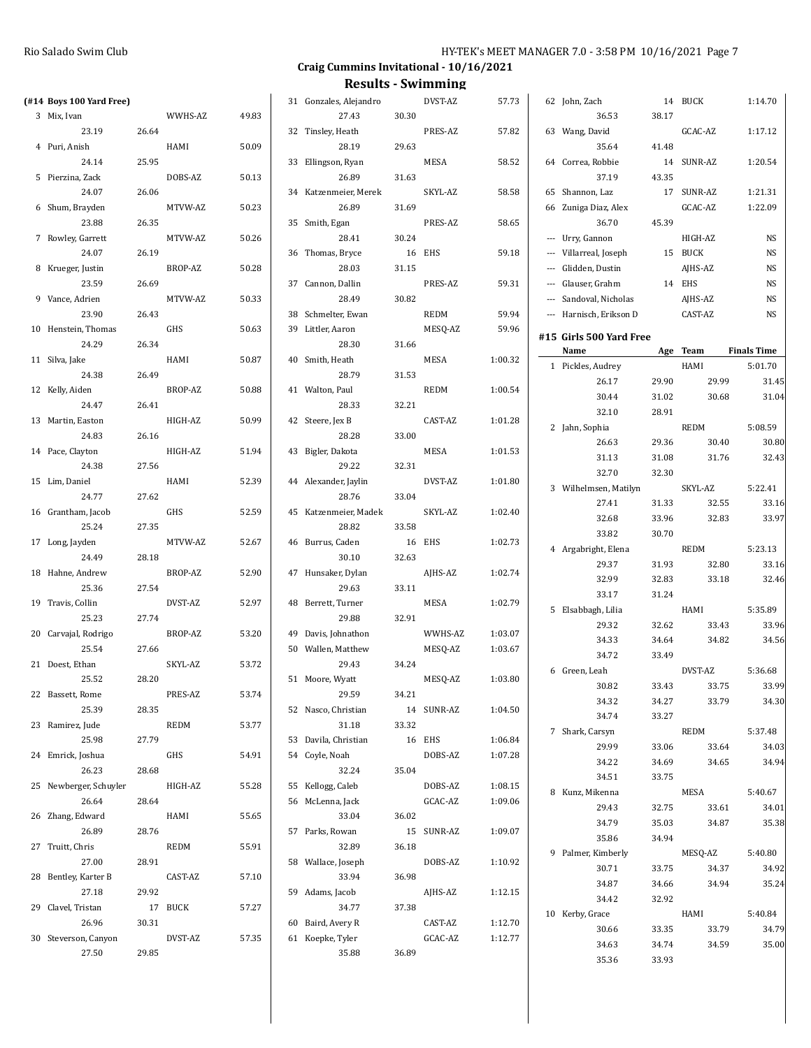|                            |       |             |       |                             |        | Results - SWIMMING |         |                         |       |            |                    |
|----------------------------|-------|-------------|-------|-----------------------------|--------|--------------------|---------|-------------------------|-------|------------|--------------------|
| (#14 Boys 100 Yard Free)   |       |             |       | 31 Gonzales, Alejandro      |        | DVST-AZ            | 57.73   | 62 John, Zach           |       | 14 BUCK    | 1:14.70            |
| 3 Mix, Ivan                |       | WWHS-AZ     | 49.83 | 27.43                       | 30.30  |                    |         | 36.53                   | 38.17 |            |                    |
| 23.19                      | 26.64 |             |       | 32 Tinsley, Heath           |        | PRES-AZ            | 57.82   | 63 Wang, David          |       | GCAC-AZ    | 1:17.12            |
| 4 Puri, Anish              |       | HAMI        | 50.09 | 28.19                       | 29.63  |                    |         | 35.64                   | 41.48 |            |                    |
| 24.14                      | 25.95 |             |       | 33 Ellingson, Ryan          |        | MESA               | 58.52   | 64 Correa, Robbie       |       | 14 SUNR-AZ | 1:20.54            |
| 5 Pierzina, Zack           |       | DOBS-AZ     | 50.13 | 26.89                       | 31.63  |                    |         | 37.19                   | 43.35 |            |                    |
| 24.07                      | 26.06 |             |       | 34 Katzenmeier, Merek       |        | SKYL-AZ            | 58.58   | 65 Shannon, Laz         |       | 17 SUNR-AZ | 1:21.31            |
| 6 Shum, Brayden            |       | MTVW-AZ     | 50.23 | 26.89                       | 31.69  |                    |         | 66 Zuniga Diaz, Alex    |       | GCAC-AZ    | 1:22.09            |
| 23.88                      | 26.35 |             |       | 35 Smith, Egan              |        | PRES-AZ            | 58.65   | 36.70                   | 45.39 |            |                    |
| 7 Rowley, Garrett          |       | MTVW-AZ     | 50.26 | 28.41                       | 30.24  |                    |         | --- Urry, Gannon        |       | HIGH-AZ    | <b>NS</b>          |
| 24.07                      | 26.19 |             |       | 36 Thomas, Bryce            |        | 16 EHS             | 59.18   | --- Villarreal, Joseph  |       | 15 BUCK    | <b>NS</b>          |
| 8 Krueger, Justin          |       | BROP-AZ     | 50.28 | 28.03                       | 31.15  |                    |         | --- Glidden, Dustin     |       | AJHS-AZ    | NS                 |
| 23.59                      | 26.69 |             |       | 37 Cannon, Dallin           |        | PRES-AZ            | 59.31   | --- Glauser, Grahm      |       | 14 EHS     | <b>NS</b>          |
| 9 Vance, Adrien            |       | MTVW-AZ     | 50.33 | 28.49                       | 30.82  |                    |         | --- Sandoval, Nicholas  |       | AJHS-AZ    | <b>NS</b>          |
| 23.90                      | 26.43 |             |       | 38 Schmelter, Ewan          |        | REDM               | 59.94   | --- Harnisch, Erikson D |       | CAST-AZ    | NS                 |
| 10 Henstein, Thomas        |       | GHS         | 50.63 | 39 Littler, Aaron           |        | MESQ-AZ            | 59.96   |                         |       |            |                    |
| 24.29                      | 26.34 |             |       | 28.30                       | 31.66  |                    |         | #15 Girls 500 Yard Free |       |            |                    |
| 11 Silva, Jake             |       | HAMI        | 50.87 | 40 Smith, Heath             |        | MESA               | 1:00.32 | Name                    |       | Age Team   | <b>Finals Time</b> |
| 24.38                      | 26.49 |             |       | 28.79                       | 31.53  |                    |         | 1 Pickles, Audrey       |       | HAMI       | 5:01.70            |
| 12 Kelly, Aiden            |       | BROP-AZ     | 50.88 | 41 Walton, Paul             |        | <b>REDM</b>        | 1:00.54 | 26.17                   | 29.90 | 29.99      | 31.45              |
| 24.47                      | 26.41 |             |       | 28.33                       | 32.21  |                    |         | 30.44                   | 31.02 | 30.68      | 31.04              |
| 13 Martin, Easton          |       | HIGH-AZ     | 50.99 | 42 Steere, Jex B            |        | CAST-AZ            | 1:01.28 | 32.10                   | 28.91 |            |                    |
| 24.83                      | 26.16 |             |       | 28.28                       | 33.00  |                    |         | 2 Jahn, Sophia          |       | REDM       | 5:08.59            |
| 14 Pace, Clayton           |       | HIGH-AZ     | 51.94 | 43 Bigler, Dakota           |        | MESA               | 1:01.53 | 26.63                   | 29.36 | 30.40      | 30.80              |
| 24.38                      | 27.56 |             |       | 29.22                       | 32.31  |                    |         | 31.13                   | 31.08 | 31.76      | 32.43              |
| 15 Lim, Daniel             |       | HAMI        | 52.39 | 44 Alexander, Jaylin        |        | DVST-AZ            | 1:01.80 | 32.70                   | 32.30 |            |                    |
| 24.77                      | 27.62 |             |       | 28.76                       | 33.04  |                    |         | 3 Wilhelmsen, Matilyn   |       | SKYL-AZ    | 5:22.41            |
| 16 Grantham, Jacob         |       | GHS         | 52.59 | 45 Katzenmeier, Madek       |        | SKYL-AZ            | 1:02.40 | 27.41                   | 31.33 | 32.55      | 33.16              |
| 25.24                      | 27.35 |             |       | 28.82                       | 33.58  |                    |         | 32.68                   | 33.96 | 32.83      | 33.97              |
| 17 Long, Jayden            |       | MTVW-AZ     | 52.67 | 46 Burrus, Caden            |        | 16 EHS             | 1:02.73 | 33.82                   | 30.70 |            |                    |
| 24.49                      | 28.18 |             |       | 30.10                       | 32.63  |                    |         | 4 Argabright, Elena     |       | REDM       | 5:23.13            |
| 18 Hahne, Andrew           |       | BROP-AZ     | 52.90 | 47 Hunsaker, Dylan          |        | AJHS-AZ            | 1:02.74 | 29.37                   | 31.93 | 32.80      | 33.16              |
| 25.36                      | 27.54 |             |       | 29.63                       | 33.11  |                    |         | 32.99                   | 32.83 | 33.18      | 32.46              |
|                            |       | DVST-AZ     | 52.97 |                             |        | MESA               | 1:02.79 | 33.17                   | 31.24 |            |                    |
| 19 Travis, Collin<br>25.23 | 27.74 |             |       | 48 Berrett, Turner<br>29.88 | 32.91  |                    |         | 5 Elsabbagh, Lilia      |       | HAMI       | 5:35.89            |
|                            |       |             |       |                             |        |                    |         | 29.32                   | 32.62 | 33.43      | 33.96              |
| 20 Carvajal, Rodrigo       |       | BROP-AZ     | 53.20 | 49 Davis, Johnathon         |        | WWHS-AZ            | 1:03.07 | 34.33                   | 34.64 | 34.82      | 34.56              |
| 25.54                      | 27.66 |             |       | 50 Wallen, Matthew          |        | MESQ-AZ            | 1:03.67 | 34.72                   | 33.49 |            |                    |
| 21 Doest, Ethan<br>25.52   | 28.20 | SKYL-AZ     | 53.72 | 29.43<br>51 Moore, Wyatt    | 34.24  | MESQ-AZ            | 1:03.80 | 6 Green, Leah           |       | DVST-AZ    | 5:36.68            |
|                            |       |             |       |                             |        |                    |         | 30.82                   | 33.43 | 33.75      | 33.99              |
| 22 Bassett, Rome           |       | PRES-AZ     | 53.74 | 29.59                       | 34.21  |                    |         | 34.32                   | 34.27 | 33.79      | 34.30              |
| 25.39                      | 28.35 |             |       | 52 Nasco, Christian         |        | 14 SUNR-AZ         | 1:04.50 | 34.74                   | 33.27 |            |                    |
| 23 Ramirez, Jude           |       | REDM        | 53.77 | 31.18                       | 33.32  |                    |         | 7 Shark, Carsyn         |       | REDM       | 5:37.48            |
| 25.98                      | 27.79 |             |       | 53 Davila, Christian        | 16 EHS |                    | 1:06.84 | 29.99                   | 33.06 | 33.64      | 34.03              |
| 24 Emrick, Joshua          |       | GHS         | 54.91 | 54 Coyle, Noah              |        | DOBS-AZ            | 1:07.28 | 34.22                   | 34.69 | 34.65      | 34.94              |
| 26.23                      | 28.68 |             |       | 32.24                       | 35.04  |                    |         | 34.51                   | 33.75 |            |                    |
| 25 Newberger, Schuyler     |       | HIGH-AZ     | 55.28 | 55 Kellogg, Caleb           |        | DOBS-AZ            | 1:08.15 | 8 Kunz, Mikenna         |       | MESA       | 5:40.67            |
| 26.64                      | 28.64 |             |       | 56 McLenna, Jack            |        | GCAC-AZ            | 1:09.06 | 29.43                   | 32.75 | 33.61      | 34.01              |
| 26 Zhang, Edward           |       | HAMI        | 55.65 | 33.04                       | 36.02  |                    |         | 34.79                   | 35.03 | 34.87      | 35.38              |
| 26.89                      | 28.76 |             |       | 57 Parks, Rowan             |        | 15 SUNR-AZ         | 1:09.07 | 35.86                   | 34.94 |            |                    |
| 27 Truitt, Chris           |       | <b>REDM</b> | 55.91 | 32.89                       | 36.18  |                    |         | 9 Palmer, Kimberly      |       | MESQ-AZ    | 5:40.80            |
| 27.00                      | 28.91 |             |       | 58 Wallace, Joseph          |        | DOBS-AZ            | 1:10.92 | 30.71                   | 33.75 | 34.37      | 34.92              |
| 28 Bentley, Karter B       |       | CAST-AZ     | 57.10 | 33.94                       | 36.98  |                    |         | 34.87                   | 34.66 | 34.94      | 35.24              |
| 27.18                      | 29.92 |             |       | 59 Adams, Jacob             |        | AJHS-AZ            | 1:12.15 | 34.42                   | 32.92 |            |                    |
| 29 Clavel, Tristan         |       | 17 BUCK     | 57.27 | 34.77                       | 37.38  |                    |         | 10 Kerby, Grace         |       | HAMI       | 5:40.84            |
| 26.96                      | 30.31 |             |       | 60 Baird, Avery R           |        | CAST-AZ            | 1:12.70 | 30.66                   | 33.35 | 33.79      | 34.79              |
| 30 Steverson, Canyon       |       | DVST-AZ     | 57.35 | 61 Koepke, Tyler            |        | GCAC-AZ            | 1:12.77 | 34.63                   | 34.74 | 34.59      | 35.00              |
| 27.50                      | 29.85 |             |       | 35.88                       | 36.89  |                    |         | 35.36                   | 33.93 |            |                    |
|                            |       |             |       |                             |        |                    |         |                         |       |            |                    |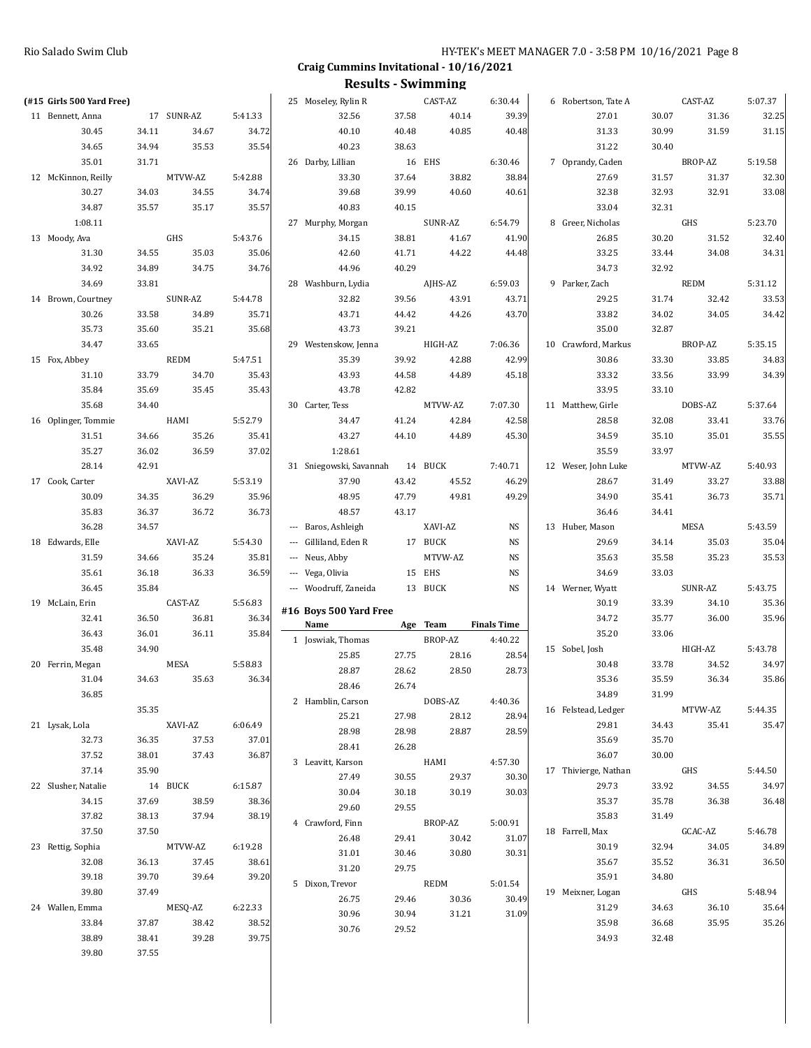| (#15 Girls 500 Yard Free) |                |            |         | 25 Moseley, Rylin R             |        | CAST-AZ     | 6:30.44            | 6 Robertson, Tate A  |       | CAST-AZ | 5:07.37 |
|---------------------------|----------------|------------|---------|---------------------------------|--------|-------------|--------------------|----------------------|-------|---------|---------|
| 11 Bennett, Anna          |                | 17 SUNR-AZ | 5:41.33 | 32.56                           | 37.58  | 40.14       | 39.39              | 27.01                | 30.07 | 31.36   | 32.25   |
| 30.45                     | 34.11          | 34.67      | 34.72   | 40.10                           | 40.48  | 40.85       | 40.48              | 31.33                | 30.99 | 31.59   | 31.15   |
| 34.65                     | 34.94          | 35.53      | 35.54   | 40.23                           | 38.63  |             |                    | 31.22                | 30.40 |         |         |
| 35.01                     | 31.71          |            |         | 26 Darby, Lillian               | 16 EHS |             | 6:30.46            | 7 Oprandy, Caden     |       | BROP-AZ | 5:19.58 |
| 12 McKinnon, Reilly       |                | MTVW-AZ    | 5:42.88 | 33.30                           | 37.64  | 38.82       | 38.84              | 27.69                | 31.57 | 31.37   | 32.30   |
| 30.27                     | 34.03          | 34.55      | 34.74   | 39.68                           | 39.99  | 40.60       | 40.61              | 32.38                | 32.93 | 32.91   | 33.08   |
| 34.87                     | 35.57          | 35.17      | 35.57   | 40.83                           | 40.15  |             |                    | 33.04                | 32.31 |         |         |
| 1:08.11                   |                |            |         | 27 Murphy, Morgan               |        | SUNR-AZ     | 6:54.79            | 8 Greer, Nicholas    |       | GHS     | 5:23.70 |
| 13 Moody, Ava             |                | GHS        | 5:43.76 | 34.15                           | 38.81  | 41.67       | 41.90              | 26.85                | 30.20 | 31.52   | 32.40   |
| 31.30                     | 34.55          | 35.03      | 35.06   | 42.60                           | 41.71  | 44.22       | 44.48              | 33.25                | 33.44 | 34.08   | 34.31   |
| 34.92                     | 34.89          | 34.75      | 34.76   | 44.96                           | 40.29  |             |                    | 34.73                | 32.92 |         |         |
| 34.69                     | 33.81          |            |         | 28 Washburn, Lydia              |        | AJHS-AZ     | 6:59.03            | 9 Parker, Zach       |       | REDM    | 5:31.12 |
| 14 Brown, Courtney        |                | SUNR-AZ    | 5:44.78 | 32.82                           | 39.56  | 43.91       | 43.71              | 29.25                | 31.74 | 32.42   | 33.53   |
| 30.26                     | 33.58          | 34.89      | 35.71   | 43.71                           | 44.42  | 44.26       | 43.70              | 33.82                | 34.02 | 34.05   | 34.42   |
| 35.73                     | 35.60          | 35.21      | 35.68   | 43.73                           | 39.21  |             |                    | 35.00                | 32.87 |         |         |
| 34.47                     | 33.65          |            |         | 29 Westenskow, Jenna            |        | HIGH-AZ     | 7:06.36            | 10 Crawford, Markus  |       | BROP-AZ | 5:35.15 |
| 15 Fox, Abbey             |                | REDM       | 5:47.51 | 35.39                           | 39.92  | 42.88       | 42.99              | 30.86                | 33.30 | 33.85   | 34.83   |
| 31.10                     | 33.79          | 34.70      | 35.43   | 43.93                           | 44.58  | 44.89       | 45.18              | 33.32                | 33.56 | 33.99   | 34.39   |
| 35.84                     | 35.69          | 35.45      | 35.43   | 43.78                           | 42.82  |             |                    | 33.95                | 33.10 |         |         |
| 35.68                     | 34.40          |            |         | 30 Carter, Tess                 |        | MTVW-AZ     | 7:07.30            | 11 Matthew, Girle    |       | DOBS-AZ | 5:37.64 |
| 16 Oplinger, Tommie       |                | HAMI       | 5:52.79 | 34.47                           | 41.24  | 42.84       | 42.58              | 28.58                | 32.08 | 33.41   | 33.76   |
| 31.51                     | 34.66          | 35.26      | 35.41   | 43.27                           | 44.10  | 44.89       | 45.30              | 34.59                | 35.10 | 35.01   | 35.55   |
| 35.27                     | 36.02          | 36.59      | 37.02   | 1:28.61                         |        |             |                    | 35.59                | 33.97 |         |         |
| 28.14                     | 42.91          |            |         | 31 Sniegowski, Savannah 14 BUCK |        |             | 7:40.71            | 12 Weser, John Luke  |       | MTVW-AZ | 5:40.93 |
| 17 Cook, Carter           |                | XAVI-AZ    | 5:53.19 | 37.90                           | 43.42  | 45.52       | 46.29              | 28.67                | 31.49 | 33.27   | 33.88   |
| 30.09                     | 34.35          | 36.29      | 35.96   | 48.95                           | 47.79  | 49.81       | 49.29              | 34.90                | 35.41 | 36.73   | 35.71   |
| 35.83                     | 36.37          | 36.72      | 36.73   | 48.57                           | 43.17  |             |                    | 36.46                | 34.41 |         |         |
| 36.28                     | 34.57          |            |         | --- Baros, Ashleigh             |        | XAVI-AZ     | NS                 | 13 Huber, Mason      |       | MESA    | 5:43.59 |
| 18 Edwards, Elle          |                | XAVI-AZ    | 5:54.30 | --- Gilliland, Eden R           |        | 17 BUCK     | NS                 | 29.69                | 34.14 | 35.03   | 35.04   |
| 31.59                     | 34.66          | 35.24      | 35.81   | --- Neus, Abby                  |        | MTVW-AZ     | NS                 | 35.63                | 35.58 | 35.23   | 35.53   |
| 35.61                     | 36.18          | 36.33      | 36.59   | --- Vega, Olivia                |        | 15 EHS      | NS                 | 34.69                | 33.03 |         |         |
| 36.45                     | 35.84          |            |         | --- Woodruff, Zaneida           |        | 13 BUCK     | NS                 | 14 Werner, Wyatt     |       | SUNR-AZ | 5:43.75 |
| 19 McLain, Erin           |                | CAST-AZ    | 5:56.83 | #16 Boys 500 Yard Free          |        |             |                    | 30.19                | 33.39 | 34.10   | 35.36   |
| 32.41                     | 36.50          | 36.81      | 36.34   | Name                            |        | Age Team    | <b>Finals Time</b> | 34.72                | 35.77 | 36.00   | 35.96   |
| 36.43                     | 36.01          | 36.11      | 35.84   | 1 Joswiak, Thomas               |        | BROP-AZ     | 4:40.22            | 35.20                | 33.06 |         |         |
| 35.48                     | 34.90          |            |         | 25.85                           | 27.75  | 28.16       | 28.54              | 15 Sobel, Josh       |       | HIGH-AZ | 5:43.78 |
| 20 Ferrin, Megan          |                | MESA       | 5:58.83 | 28.87                           | 28.62  | 28.50       | 28.73              | 30.48                | 33.78 | 34.52   | 34.97   |
| 31.04                     | 34.63          | 35.63      | 36.34   | 28.46                           | 26.74  |             |                    | 35.36                | 35.59 | 36.34   | 35.86   |
| 36.85                     |                |            |         | 2 Hamblin, Carson               |        | DOBS-AZ     | 4:40.36            | 34.89                | 31.99 |         |         |
|                           | 35.35          |            |         | 25.21                           | 27.98  | 28.12       | 28.94              | 16 Felstead, Ledger  |       | MTVW-AZ | 5:44.35 |
| 21 Lysak, Lola            |                | XAVI-AZ    | 6:06.49 | 28.98                           | 28.98  | 28.87       | 28.59              | 29.81                | 34.43 | 35.41   | 35.47   |
| 32.73                     | 36.35          | 37.53      | 37.01   | 28.41                           | 26.28  |             |                    | 35.69                | 35.70 |         |         |
| 37.52                     | 38.01          | 37.43      | 36.87   | 3 Leavitt, Karson               |        | <b>HAMI</b> | 4:57.30            | 36.07                | 30.00 |         |         |
| 37.14                     | 35.90          |            |         | 27.49                           | 30.55  | 29.37       | 30.30              | 17 Thivierge, Nathan |       | GHS     | 5:44.50 |
| 22 Slusher, Natalie       |                | 14 BUCK    | 6:15.87 | 30.04                           | 30.18  | 30.19       | 30.03              | 29.73                | 33.92 | 34.55   | 34.97   |
| 34.15                     | 37.69          | 38.59      | 38.36   | 29.60                           | 29.55  |             |                    | 35.37                | 35.78 | 36.38   | 36.48   |
| 37.82                     | 38.13          | 37.94      | 38.19   | 4 Crawford, Finn                |        | BROP-AZ     | 5:00.91            | 35.83                | 31.49 |         |         |
| 37.50                     | 37.50          |            |         | 26.48                           | 29.41  | 30.42       | 31.07              | 18 Farrell, Max      |       | GCAC-AZ | 5:46.78 |
| 23 Rettig, Sophia         |                | MTVW-AZ    | 6:19.28 | 31.01                           | 30.46  | 30.80       | 30.31              | 30.19                | 32.94 | 34.05   | 34.89   |
| 32.08                     | 36.13          | 37.45      | 38.61   | 31.20                           | 29.75  |             |                    | 35.67                | 35.52 | 36.31   | 36.50   |
| 39.18                     | 39.70          | 39.64      | 39.20   | 5 Dixon, Trevor                 |        | REDM        | 5:01.54            | 35.91                | 34.80 |         |         |
| 39.80                     | 37.49          |            |         | 26.75                           | 29.46  | 30.36       | 30.49              | 19 Meixner, Logan    |       | GHS     | 5:48.94 |
| 24 Wallen, Emma           |                | MESQ-AZ    | 6:22.33 | 30.96                           | 30.94  | 31.21       | 31.09              | 31.29                | 34.63 | 36.10   | 35.64   |
| 33.84                     | 37.87          | 38.42      | 38.52   | 30.76                           | 29.52  |             |                    | 35.98                | 36.68 | 35.95   | 35.26   |
|                           |                |            |         |                                 |        |             |                    |                      |       |         |         |
| 38.89<br>39.80            | 38.41<br>37.55 | 39.28      | 39.75   |                                 |        |             |                    | 34.93                | 32.48 |         |         |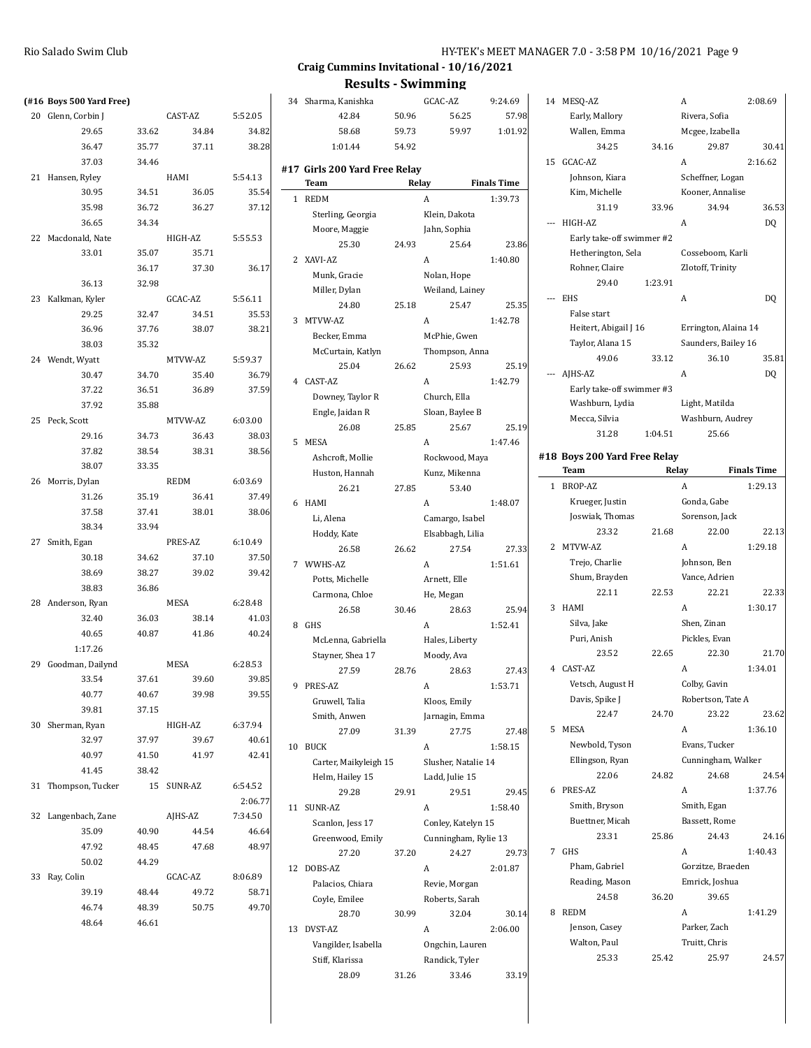#### **Craig Cummins Invitational - 10/16/2021**

|    | (#16 Boys 500 Yard Free) |       |         |         | 34              |  |
|----|--------------------------|-------|---------|---------|-----------------|--|
| 20 | Glenn, Corbin J          |       | CAST-AZ | 5:52.05 |                 |  |
|    | 29.65                    | 33.62 | 34.84   | 34.82   |                 |  |
|    | 36.47                    | 35.77 | 37.11   | 38.28   |                 |  |
|    | 37.03                    | 34.46 |         |         |                 |  |
| 21 | Hansen, Ryley            |       | HAMI    | 5:54.13 | #17 (           |  |
|    | 30.95                    | 34.51 | 36.05   | 35.54   | 1               |  |
|    | 35.98                    | 36.72 | 36.27   | 37.12   |                 |  |
|    | 36.65                    | 34.34 |         |         |                 |  |
| 22 | Macdonald, Nate          |       | HIGH-AZ | 5:55.53 |                 |  |
|    | 33.01                    | 35.07 | 35.71   |         | 2 <sup>2</sup>  |  |
|    |                          | 36.17 | 37.30   | 36.17   |                 |  |
|    | 36.13                    | 32.98 |         |         |                 |  |
| 23 | Kalkman, Kyler           |       | GCAC-AZ | 5:56.11 |                 |  |
|    | 29.25                    | 32.47 | 34.51   | 35.53   | 3               |  |
|    | 36.96                    | 37.76 | 38.07   | 38.21   |                 |  |
|    | 38.03                    | 35.32 |         |         |                 |  |
|    | 24 Wendt, Wyatt          |       | MTVW-AZ | 5:59.37 |                 |  |
|    | 30.47                    | 34.70 | 35.40   | 36.79   | 4               |  |
|    | 37.22                    | 36.51 | 36.89   | 37.59   |                 |  |
|    | 37.92                    | 35.88 |         |         |                 |  |
| 25 | Peck, Scott              |       | MTVW-AZ | 6:03.00 |                 |  |
|    | 29.16                    | 34.73 | 36.43   | 38.03   | 5               |  |
|    | 37.82                    | 38.54 | 38.31   | 38.56   |                 |  |
|    | 38.07                    | 33.35 |         |         |                 |  |
| 26 | Morris, Dylan            |       | REDM    | 6:03.69 |                 |  |
|    | 31.26                    | 35.19 | 36.41   | 37.49   | 6               |  |
|    | 37.58                    | 37.41 | 38.01   | 38.06   |                 |  |
|    | 38.34                    | 33.94 |         |         |                 |  |
| 27 | Smith, Egan              |       | PRES-AZ | 6:10.49 |                 |  |
|    | 30.18                    | 34.62 | 37.10   | 37.50   | 7               |  |
|    | 38.69                    | 38.27 | 39.02   | 39.42   |                 |  |
|    | 38.83                    | 36.86 |         |         |                 |  |
|    | 28 Anderson, Ryan        |       | MESA    | 6:28.48 |                 |  |
|    | 32.40                    | 36.03 | 38.14   | 41.03   | 8               |  |
|    | 40.65                    | 40.87 | 41.86   | 40.24   |                 |  |
|    | 1:17.26                  |       |         |         |                 |  |
| 29 | Goodman, Dailynd         |       | MESA    | 6:28.53 |                 |  |
|    | 33.54                    | 37.61 | 39.60   | 39.85   | 9               |  |
|    | 40.77                    | 40.67 | 39.98   | 39.55   |                 |  |
|    | 39.81                    | 37.15 |         |         |                 |  |
| 30 | Sherman, Ryan            |       | HIGH-AZ | 6:37.94 |                 |  |
|    | 32.97                    | 37.97 | 39.67   | 40.61   | 10 <sup>1</sup> |  |
|    | 40.97                    | 41.50 | 41.97   | 42.41   |                 |  |
|    | 41.45                    | 38.42 |         |         |                 |  |
| 31 | Thompson, Tucker         | 15    | SUNR-AZ | 6:54.52 |                 |  |
|    |                          |       |         | 2:06.77 | $11$ :          |  |
| 32 | Langenbach, Zane         |       | AJHS-AZ | 7:34.50 |                 |  |
|    | 35.09                    | 40.90 | 44.54   | 46.64   |                 |  |
|    | 47.92                    | 48.45 | 47.68   | 48.97   |                 |  |
|    | 50.02                    | 44.29 |         |         | $12-1$          |  |
| 33 | Ray, Colin               |       | GCAC-AZ | 8:06.89 |                 |  |
|    | 39.19                    | 48.44 | 49.72   | 58.71   |                 |  |
|    | 46.74                    | 48.39 | 50.75   | 49.70   |                 |  |
|    | 48.64                    | 46.61 |         |         | 13              |  |

|    | 42.84                                        | 50.96 | 56.25                | 57.98              |
|----|----------------------------------------------|-------|----------------------|--------------------|
|    | 58.68                                        | 59.73 | 59.97                | 1:01.92            |
|    | 1:01.44                                      | 54.92 |                      |                    |
|    | #17 Girls 200 Yard Free Relay<br><b>Team</b> |       | Relay                | <b>Finals Time</b> |
| 1  | <b>REDM</b>                                  |       | A                    | 1:39.73            |
|    | Sterling, Georgia                            |       | Klein, Dakota        |                    |
|    | Moore, Maggie                                |       | Jahn, Sophia         |                    |
|    | 25.30                                        | 24.93 | 25.64                | 23.86              |
| 2  | XAVI-AZ                                      |       | A                    | 1:40.80            |
|    | Munk, Gracie                                 |       | Nolan, Hope          |                    |
|    | Miller, Dylan                                |       | Weiland, Lainey      |                    |
|    | 24.80                                        | 25.18 | 25.47                | 25.35              |
| 3  | MTVW-AZ                                      |       | A                    | 1:42.78            |
|    | Becker, Emma                                 |       | McPhie, Gwen         |                    |
|    | McCurtain, Katlyn                            |       | Thompson, Anna       |                    |
|    | 25.04                                        | 26.62 | 25.93                | 25.19              |
| 4  | CAST-AZ                                      |       | A                    | 1:42.79            |
|    | Downey, Taylor R                             |       | Church, Ella         |                    |
|    | Engle, Jaidan R                              |       | Sloan, Baylee B      |                    |
|    | 26.08                                        | 25.85 | 25.67                | 25.19              |
| 5  | <b>MESA</b>                                  |       | A                    | 1:47.46            |
|    | Ashcroft, Mollie                             |       | Rockwood, Maya       |                    |
|    | Huston, Hannah                               |       | Kunz, Mikenna        |                    |
|    | 26.21                                        | 27.85 | 53.40                |                    |
| 6  | HAMI                                         |       | A                    | 1:48.07            |
|    | Li, Alena                                    |       | Camargo, Isabel      |                    |
|    | Hoddy, Kate                                  |       | Elsabbagh, Lilia     |                    |
|    | 26.58                                        | 26.62 | 27.54                | 27.33              |
| 7  | WWHS-AZ                                      |       | A                    | 1:51.61            |
|    | Potts, Michelle                              |       | Arnett, Elle         |                    |
|    | Carmona, Chloe                               |       | He, Megan            |                    |
|    | 26.58                                        | 30.46 | 28.63                | 25.94              |
| 8  | <b>GHS</b>                                   |       | A                    | 1:52.41            |
|    | McLenna, Gabriella                           |       | Hales, Liberty       |                    |
|    | Stayner, Shea 17                             |       | Moody, Ava           |                    |
|    | 27.59                                        | 28.76 | 28.63                | 27.43              |
| 9  | PRES-AZ                                      |       | A                    | 1:53.71            |
|    | Gruwell, Talia                               |       | Kloos, Emily         |                    |
|    | Smith, Anwen                                 |       | Jarnagin, Emma       |                    |
|    | 27.09                                        | 31.39 | 27.75                | 27.48              |
| 10 | <b>BUCK</b>                                  |       | A                    | 1:58.15            |
|    | Carter, Maikyleigh 15                        |       | Slusher, Natalie 14  |                    |
|    | Helm, Hailey 15                              |       | Ladd, Julie 15       |                    |
|    | 29.28                                        | 29.91 | 29.51                | 29.45              |
| 11 | SUNR-AZ                                      |       | A                    | 1:58.40            |
|    | Scanlon, Jess 17                             |       | Conley, Katelyn 15   |                    |
|    | Greenwood, Emily                             |       | Cunningham, Rylie 13 |                    |
|    | 27.20                                        | 37.20 | 24.27                | 29.73              |
| 12 | DOBS-AZ                                      |       | A                    | 2:01.87            |
|    | Palacios, Chiara                             |       | Revie, Morgan        |                    |
|    | Coyle, Emilee                                |       | Roberts, Sarah       |                    |
|    | 28.70                                        | 30.99 | 32.04                | 30.14              |
| 13 | DVST-AZ                                      |       | A                    | 2:06.00            |
|    | Vangilder, Isabella                          |       | Ongchin, Lauren      |                    |
|    | Stiff, Klarissa                              |       | Randick, Tyler       |                    |
|    | 28.09                                        | 31.26 | 33.46                | 33.19              |

| Sharma, Kanishka          |       | GCAC-AZ              | 9:24.69            | 14 MESQ-AZ                   |         | A                    | 2:08.69            |
|---------------------------|-------|----------------------|--------------------|------------------------------|---------|----------------------|--------------------|
| 42.84                     | 50.96 | 56.25                | 57.98              | Early, Mallory               |         | Rivera, Sofia        |                    |
| 58.68                     | 59.73 | 59.97                | 1:01.92            | Wallen, Emma                 |         | Mcgee, Izabella      |                    |
|                           |       |                      |                    |                              |         |                      |                    |
| 1:01.44                   | 54.92 |                      |                    | 34.25<br>15 GCAC-AZ          | 34.16   | 29.87                | 30.41              |
| Girls 200 Yard Free Relay |       |                      |                    |                              |         | A                    | 2:16.62            |
| <b>Team</b>               |       | Relay                | <b>Finals Time</b> | Johnson, Kiara               |         | Scheffner, Logan     |                    |
| <b>REDM</b>               |       | A                    | 1:39.73            | Kim, Michelle                |         | Kooner, Annalise     |                    |
| Sterling, Georgia         |       | Klein, Dakota        |                    | 31.19                        | 33.96   | 34.94                | 36.53              |
| Moore, Maggie             |       | Jahn, Sophia         |                    | --- HIGH-AZ                  |         | A                    | DQ                 |
| 25.30                     | 24.93 | 25.64                | 23.86              | Early take-off swimmer #2    |         |                      |                    |
| XAVI-AZ                   |       | A                    | 1:40.80            | Hetherington, Sela           |         | Cosseboom, Karli     |                    |
| Munk, Gracie              |       | Nolan, Hope          |                    | Rohner, Claire               |         | Zlotoff, Trinity     |                    |
| Miller, Dylan             |       | Weiland, Lainey      |                    | 29.40                        | 1:23.91 |                      |                    |
| 24.80                     | 25.18 | 25.47                | 25.35              | --- EHS                      |         | A                    | DQ                 |
| MTVW-AZ                   |       | A                    | 1:42.78            | False start                  |         |                      |                    |
| Becker, Emma              |       | McPhie, Gwen         |                    | Heitert, Abigail J 16        |         | Errington, Alaina 14 |                    |
| McCurtain, Katlyn         |       | Thompson, Anna       |                    | Taylor, Alana 15             |         | Saunders, Bailey 16  |                    |
| 25.04                     | 26.62 | 25.93                | 25.19              | 49.06                        | 33.12   | 36.10                | 35.81              |
| CAST-AZ                   |       | A                    | 1:42.79            | AJHS-AZ                      |         | A                    | DQ                 |
| Downey, Taylor R          |       | Church, Ella         |                    | Early take-off swimmer #3    |         |                      |                    |
|                           |       |                      |                    | Washburn, Lydia              |         | Light, Matilda       |                    |
| Engle, Jaidan R<br>26.08  | 25.85 | Sloan, Baylee B      | 25.19              | Mecca, Silvia                |         | Washburn, Audrey     |                    |
|                           |       | 25.67                |                    | 31.28                        | 1:04.51 | 25.66                |                    |
| <b>MESA</b>               |       | A                    | 1:47.46            | #18 Boys 200 Yard Free Relay |         |                      |                    |
| Ashcroft, Mollie          |       | Rockwood, Maya       |                    | Team                         | Relay   |                      | <b>Finals Time</b> |
| Huston, Hannah            |       | Kunz, Mikenna        |                    | 1 BROP-AZ                    |         | A                    | 1:29.13            |
| 26.21                     | 27.85 | 53.40                |                    |                              |         |                      |                    |
| HAMI                      |       | A                    | 1:48.07            | Krueger, Justin              |         | Gonda, Gabe          |                    |
| Li, Alena                 |       | Camargo, Isabel      |                    | Joswiak, Thomas              |         | Sorenson, Jack       |                    |
| Hoddy, Kate               |       | Elsabbagh, Lilia     |                    | 23.32                        | 21.68   | 22.00                | 22.13              |
| 26.58                     | 26.62 | 27.54                | 27.33              | 2 MTVW-AZ                    |         | A                    | 1:29.18            |
| WWHS-AZ                   |       | A                    | 1:51.61            | Trejo, Charlie               |         | Johnson, Ben         |                    |
| Potts, Michelle           |       | Arnett, Elle         |                    | Shum, Brayden                |         | Vance, Adrien        |                    |
| Carmona, Chloe            |       | He, Megan            |                    | 22.11                        | 22.53   | 22.21                | 22.33              |
| 26.58                     | 30.46 | 28.63                | 25.94              | 3 HAMI                       |         | A                    | 1:30.17            |
| GHS                       |       | A                    | 1:52.41            | Silva, Jake                  |         | Shen, Zinan          |                    |
| McLenna, Gabriella        |       | Hales, Liberty       |                    | Puri, Anish                  |         | Pickles, Evan        |                    |
| Stayner, Shea 17          |       | Moody, Ava           |                    | 23.52                        | 22.65   | 22.30                | 21.70              |
| 27.59                     | 28.76 | 28.63                | 27.43              | 4 CAST-AZ                    |         | A                    | 1:34.01            |
| PRES-AZ                   |       | A                    | 1:53.71            | Vetsch, August H             |         | Colby, Gavin         |                    |
| Gruwell, Talia            |       | Kloos, Emily         |                    | Davis, Spike J               |         | Robertson, Tate A    |                    |
| Smith, Anwen              |       | Jarnagin, Emma       |                    | 22.47                        | 24.70   | 23.22                | 23.62              |
| 27.09                     | 31.39 | 27.75                | 27.48              | 5 MESA                       |         | A                    | 1:36.10            |
| <b>BUCK</b>               |       | A                    | 1:58.15            | Newbold, Tyson               |         | Evans, Tucker        |                    |
| Carter, Maikyleigh 15     |       | Slusher, Natalie 14  |                    | Ellingson, Ryan              |         | Cunningham, Walker   |                    |
| Helm, Hailey 15           |       | Ladd, Julie 15       |                    | 22.06                        | 24.82   | 24.68                | 24.54              |
| 29.28                     | 29.91 | 29.51                | 29.45              | 6 PRES-AZ                    |         | A                    | 1:37.76            |
| SUNR-AZ                   |       | A                    | 1:58.40            | Smith, Bryson                |         | Smith, Egan          |                    |
|                           |       |                      |                    | Buettner, Micah              |         | Bassett, Rome        |                    |
| Scanlon, Jess 17          |       | Conley, Katelyn 15   |                    | 23.31                        | 25.86   | 24.43                | 24.16              |
| Greenwood, Emily          |       | Cunningham, Rylie 13 |                    | 7 GHS                        |         |                      |                    |
| 27.20                     | 37.20 | 24.27                | 29.73              |                              |         | A                    | 1:40.43            |
| DOBS-AZ                   |       | A                    | 2:01.87            | Pham, Gabriel                |         | Gorzitze, Braeden    |                    |
| Palacios, Chiara          |       | Revie, Morgan        |                    | Reading, Mason               |         | Emrick, Joshua       |                    |
| Coyle, Emilee             |       | Roberts, Sarah       |                    | 24.58                        | 36.20   | 39.65                |                    |
| 28.70                     | 30.99 | 32.04                | 30.14              | 8 REDM                       |         | A                    | 1:41.29            |
| DVST-AZ                   |       | A                    | 2:06.00            | Jenson, Casey                |         | Parker, Zach         |                    |
| Vangilder, Isabella       |       | Ongchin, Lauren      |                    | Walton, Paul                 |         | Truitt, Chris        |                    |
| Stiff, Klarissa           |       | Randick, Tyler       |                    | 25.33                        | 25.42   | 25.97                | 24.57              |
|                           |       |                      |                    |                              |         |                      |                    |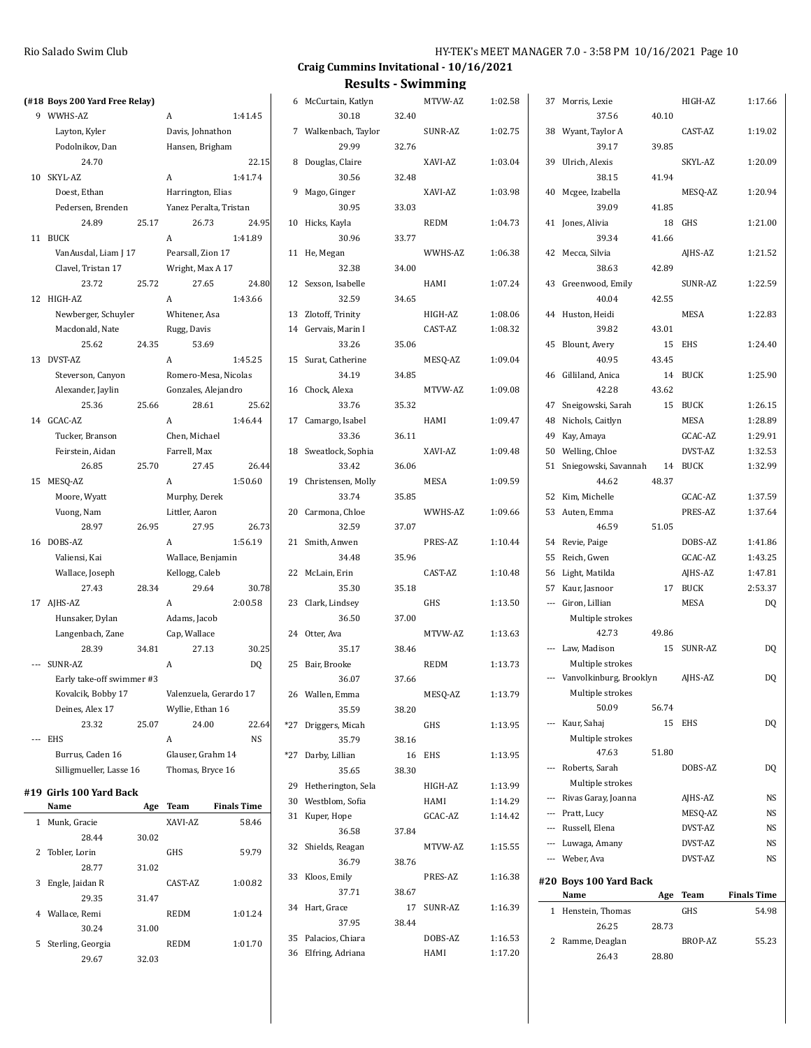| HY-TEK's MEET MANAGER 7.0 - 3:58 PM 10/16/2021 Page 10 |  |  |  |
|--------------------------------------------------------|--|--|--|
|--------------------------------------------------------|--|--|--|

|                                 |       |                        |                    |                       |       | RESULLS - JWILLILLING |         |                             |       |            |                    |
|---------------------------------|-------|------------------------|--------------------|-----------------------|-------|-----------------------|---------|-----------------------------|-------|------------|--------------------|
| (#18 Boys 200 Yard Free Relay)  |       |                        |                    | 6 McCurtain, Katlyn   |       | MTVW-AZ               | 1:02.58 | 37 Morris, Lexie            |       | HIGH-AZ    | 1:17.66            |
| 9 WWHS-AZ                       |       | A                      | 1:41.45            | 30.18                 | 32.40 |                       |         | 37.56                       | 40.10 |            |                    |
| Layton, Kyler                   |       | Davis, Johnathon       |                    | 7 Walkenbach, Taylor  |       | SUNR-AZ               | 1:02.75 | 38 Wyant, Taylor A          |       | CAST-AZ    | 1:19.02            |
| Podolnikov, Dan                 |       | Hansen, Brigham        |                    | 29.99                 | 32.76 |                       |         | 39.17                       | 39.85 |            |                    |
| 24.70                           |       |                        | 22.15              | 8 Douglas, Claire     |       | XAVI-AZ               | 1:03.04 | 39 Ulrich, Alexis           |       | SKYL-AZ    | 1:20.09            |
| 10 SKYL-AZ                      |       | A                      | 1:41.74            | 30.56                 | 32.48 |                       |         | 38.15                       | 41.94 |            |                    |
| Doest, Ethan                    |       | Harrington, Elias      |                    | 9 Mago, Ginger        |       | XAVI-AZ               | 1:03.98 | 40 Mcgee, Izabella          |       | MESQ-AZ    | 1:20.94            |
| Pedersen, Brenden               |       | Yanez Peralta, Tristan |                    | 30.95                 | 33.03 |                       |         | 39.09                       | 41.85 |            |                    |
| 24.89                           | 25.17 | 26.73                  | 24.95              | 10 Hicks, Kayla       |       | <b>REDM</b>           | 1:04.73 | 41 Jones, Alivia            |       | 18 GHS     | 1:21.00            |
| 11 BUCK                         |       | A                      | 1:41.89            | 30.96                 | 33.77 |                       |         | 39.34                       | 41.66 |            |                    |
| VanAusdal, Liam J 17            |       | Pearsall, Zion 17      |                    | 11 He, Megan          |       | WWHS-AZ               | 1:06.38 | 42 Mecca, Silvia            |       | AJHS-AZ    | 1:21.52            |
| Clavel, Tristan 17              |       | Wright, Max A 17       |                    | 32.38                 | 34.00 |                       |         | 38.63                       | 42.89 |            |                    |
| 23.72                           | 25.72 | 27.65                  | 24.80              | 12 Sexson, Isabelle   |       | HAMI                  | 1:07.24 | 43 Greenwood, Emily         |       | SUNR-AZ    | 1:22.59            |
| 12 HIGH-AZ                      |       | $\mathbf{A}$           | 1:43.66            | 32.59                 | 34.65 |                       |         | 40.04                       | 42.55 |            |                    |
| Newberger, Schuyler             |       | Whitener, Asa          |                    | 13 Zlotoff, Trinity   |       | HIGH-AZ               | 1:08.06 | 44 Huston, Heidi            |       | MESA       | 1:22.83            |
| Macdonald, Nate                 |       | Rugg, Davis            |                    | 14 Gervais, Marin I   |       | CAST-AZ               | 1:08.32 | 39.82                       | 43.01 |            |                    |
| 25.62                           | 24.35 | 53.69                  |                    | 33.26                 | 35.06 |                       |         | 45 Blount, Avery            |       | 15 EHS     | 1:24.40            |
| 13 DVST-AZ                      |       | A                      | 1:45.25            | 15 Surat, Catherine   |       | MESQ-AZ               | 1:09.04 | 40.95                       | 43.45 |            |                    |
| Steverson, Canyon               |       | Romero-Mesa, Nicolas   |                    | 34.19                 | 34.85 |                       |         | 46 Gilliland, Anica         |       | 14 BUCK    | 1:25.90            |
| Alexander, Jaylin               |       | Gonzales, Alejandro    |                    | 16 Chock, Alexa       |       | MTVW-AZ               | 1:09.08 | 42.28                       | 43.62 |            |                    |
| 25.36                           | 25.66 | 28.61                  | 25.62              | 33.76                 | 35.32 |                       |         | 47 Sneigowski, Sarah        |       | 15 BUCK    | 1:26.15            |
| 14 GCAC-AZ                      |       | A                      | 1:46.44            | 17 Camargo, Isabel    |       | HAMI                  | 1:09.47 | 48 Nichols, Caitlyn         |       | MESA       | 1:28.89            |
| Tucker, Branson                 |       | Chen, Michael          |                    | 33.36                 | 36.11 |                       |         | 49 Kay, Amaya               |       | GCAC-AZ    | 1:29.91            |
| Feirstein, Aidan                |       | Farrell, Max           |                    | 18 Sweatlock, Sophia  |       | XAVI-AZ               | 1:09.48 | 50 Welling, Chloe           |       | DVST-AZ    | 1:32.53            |
| 26.85                           | 25.70 | 27.45                  | 26.44              | 33.42                 | 36.06 |                       |         | 51 Sniegowski, Savannah     |       | 14 BUCK    | 1:32.99            |
| 15 MESQ-AZ                      |       | A                      | 1:50.60            | 19 Christensen, Molly |       | MESA                  | 1:09.59 | 44.62                       | 48.37 |            |                    |
| Moore, Wyatt                    |       | Murphy, Derek          |                    | 33.74                 | 35.85 |                       |         | 52 Kim, Michelle            |       | GCAC-AZ    | 1:37.59            |
| Vuong, Nam                      |       | Littler, Aaron         |                    | 20 Carmona, Chloe     |       | WWHS-AZ               | 1:09.66 | 53 Auten, Emma              |       | PRES-AZ    | 1:37.64            |
| 28.97                           | 26.95 | 27.95                  | 26.73              | 32.59                 | 37.07 |                       |         | 46.59                       | 51.05 |            |                    |
| 16 DOBS-AZ                      |       | A                      | 1:56.19            | 21 Smith, Anwen       |       | PRES-AZ               | 1:10.44 | 54 Revie, Paige             |       | DOBS-AZ    | 1:41.86            |
| Valiensi, Kai                   |       | Wallace, Benjamin      |                    | 34.48                 | 35.96 |                       |         | 55 Reich, Gwen              |       | GCAC-AZ    | 1:43.25            |
| Wallace, Joseph                 |       | Kellogg, Caleb         |                    | 22 McLain, Erin       |       | CAST-AZ               | 1:10.48 | 56 Light, Matilda           |       | AJHS-AZ    | 1:47.81            |
| 27.43                           | 28.34 | 29.64                  | 30.78              | 35.30                 | 35.18 |                       |         | 57 Kaur, Jasnoor            |       | 17 BUCK    | 2:53.37            |
| 17 AJHS-AZ                      |       | A                      | 2:00.58            | 23 Clark, Lindsey     |       | GHS                   | 1:13.50 | --- Giron, Lillian          |       | MESA       | DQ                 |
| Hunsaker, Dylan                 |       | Adams, Jacob           |                    | 36.50                 | 37.00 |                       |         | Multiple strokes            |       |            |                    |
| Langenbach, Zane                |       | Cap, Wallace           |                    | 24 Otter, Ava         |       | MTVW-AZ               | 1:13.63 | 42.73                       | 49.86 |            |                    |
| 28.39                           | 34.81 | 27.13                  | 30.25              | 35.17                 | 38.46 |                       |         | --- Law, Madison            |       | 15 SUNR-AZ | DQ                 |
| --- SUNR-AZ                     |       | A                      | D <sub>0</sub>     | 25 Bair, Brooke       |       | <b>REDM</b>           | 1:13.73 | Multiple strokes            |       |            |                    |
| Early take-off swimmer #3       |       |                        |                    | 36.07                 | 37.66 |                       |         | --- Vanvolkinburg, Brooklyn |       | AJHS-AZ    | DQ                 |
| Kovalcik, Bobby 17              |       | Valenzuela, Gerardo 17 |                    | 26 Wallen, Emma       |       | MESQ-AZ               | 1:13.79 | Multiple strokes            |       |            |                    |
| Deines, Alex 17                 |       | Wyllie, Ethan 16       |                    | 35.59                 | 38.20 |                       |         | 50.09                       | 56.74 |            |                    |
| 23.32                           | 25.07 | 24.00                  | 22.64              | *27 Driggers, Micah   |       | GHS                   | 1:13.95 | --- Kaur, Sahaj             |       | 15 EHS     | DQ                 |
| --- EHS                         |       | A                      | NS                 | 35.79                 | 38.16 |                       |         | Multiple strokes            |       |            |                    |
| Burrus, Caden 16                |       | Glauser, Grahm 14      |                    | *27 Darby, Lillian    |       | 16 EHS                | 1:13.95 | 47.63                       | 51.80 |            |                    |
| Silligmueller, Lasse 16         |       | Thomas, Bryce 16       |                    | 35.65                 | 38.30 |                       |         | --- Roberts, Sarah          |       | DOBS-AZ    | DQ                 |
|                                 |       |                        |                    | 29 Hetherington, Sela |       | HIGH-AZ               | 1:13.99 | Multiple strokes            |       |            |                    |
| #19 Girls 100 Yard Back<br>Name |       | Age Team               | <b>Finals Time</b> | 30 Westblom, Sofia    |       | HAMI                  | 1:14.29 | --- Rivas Garay, Joanna     |       | AJHS-AZ    | NS                 |
| 1 Munk, Gracie                  |       | XAVI-AZ                | 58.46              | 31 Kuper, Hope        |       | GCAC-AZ               | 1:14.42 | --- Pratt, Lucy             |       | MESQ-AZ    | $_{\rm NS}$        |
| 28.44                           | 30.02 |                        |                    | 36.58                 | 37.84 |                       |         | --- Russell, Elena          |       | DVST-AZ    | $_{\rm NS}$        |
|                                 |       |                        |                    | 32 Shields, Reagan    |       | MTVW-AZ               | 1:15.55 | --- Luwaga, Amany           |       | DVST-AZ    | $_{\rm NS}$        |
| 2 Tobler, Lorin<br>28.77        | 31.02 | GHS                    | 59.79              | 36.79                 | 38.76 |                       |         | --- Weber, Ava              |       | DVST-AZ    | $_{\rm NS}$        |
|                                 |       | CAST-AZ                | 1:00.82            | 33 Kloos, Emily       |       | PRES-AZ               | 1:16.38 | #20 Boys 100 Yard Back      |       |            |                    |
| 3 Engle, Jaidan R<br>29.35      | 31.47 |                        |                    | 37.71                 | 38.67 |                       |         | Name                        |       | Age Team   | <b>Finals Time</b> |
|                                 |       |                        |                    | 34 Hart, Grace        |       | 17 SUNR-AZ            | 1:16.39 | 1 Henstein, Thomas          |       | GHS        | 54.98              |
| 4 Wallace, Remi<br>30.24        | 31.00 | REDM                   | 1:01.24            | 37.95                 | 38.44 |                       |         | 26.25                       | 28.73 |            |                    |
|                                 |       |                        |                    | 35 Palacios, Chiara   |       | DOBS-AZ               | 1:16.53 | 2 Ramme, Deaglan            |       | BROP-AZ    | 55.23              |
| 5 Sterling, Georgia<br>29.67    |       | REDM                   | 1:01.70            | 36 Elfring, Adriana   |       | HAMI                  | 1:17.20 | 26.43                       | 28.80 |            |                    |
|                                 | 32.03 |                        |                    |                       |       |                       |         |                             |       |            |                    |
|                                 |       |                        |                    |                       |       |                       |         |                             |       |            |                    |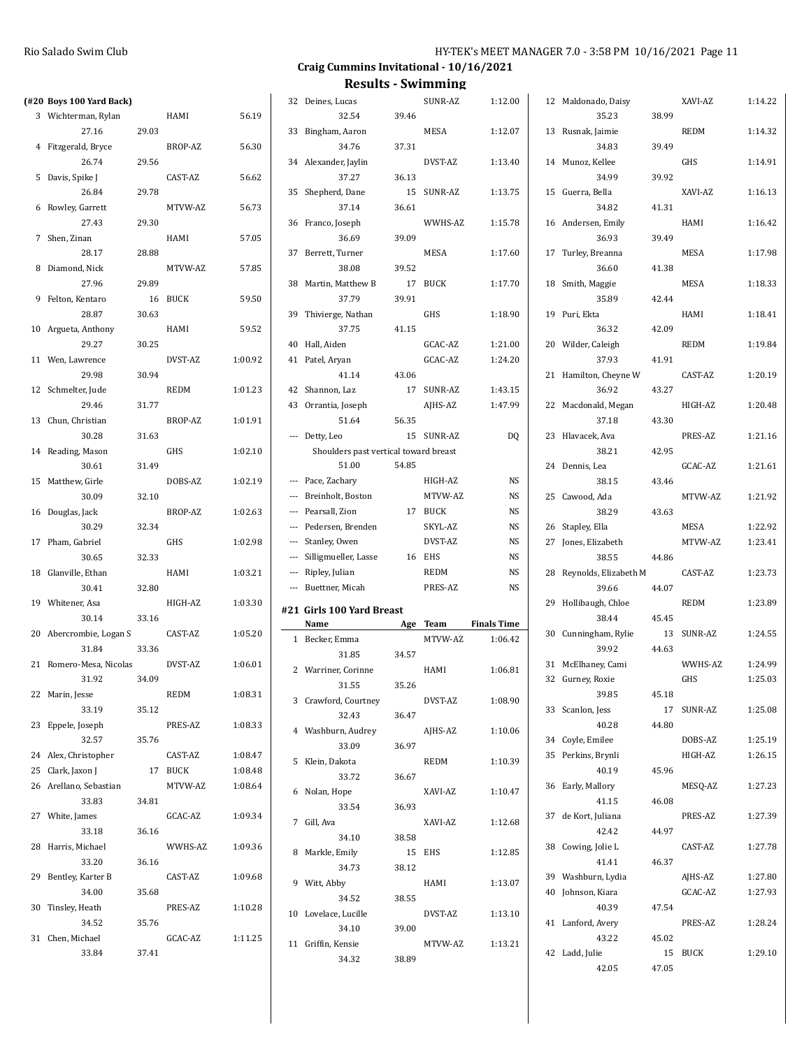| (#20 Boys 100 Yard Back) |       |             |         | 32 Deines, Lucas                      |       | SUNR-AZ     | 1:12.00            | 12 Maldonado, Daisy      |       | XAVI-AZ     | 1:14.22 |
|--------------------------|-------|-------------|---------|---------------------------------------|-------|-------------|--------------------|--------------------------|-------|-------------|---------|
| 3 Wichterman, Rylan      |       | HAMI        | 56.19   | 32.54                                 | 39.46 |             |                    | 35.23                    | 38.99 |             |         |
| 27.16                    | 29.03 |             |         | 33 Bingham, Aaron                     |       | <b>MESA</b> | 1:12.07            | 13 Rusnak, Jaimie        |       | <b>REDM</b> | 1:14.32 |
| 4 Fitzgerald, Bryce      |       | BROP-AZ     | 56.30   | 34.76                                 | 37.31 |             |                    | 34.83                    | 39.49 |             |         |
| 26.74                    | 29.56 |             |         | 34 Alexander, Jaylin                  |       | DVST-AZ     | 1:13.40            | 14 Munoz, Kellee         |       | GHS         | 1:14.91 |
| 5 Davis, Spike J         |       | CAST-AZ     | 56.62   | 37.27                                 | 36.13 |             |                    | 34.99                    | 39.92 |             |         |
| 26.84                    | 29.78 |             |         | 35 Shepherd, Dane                     |       | 15 SUNR-AZ  | 1:13.75            | 15 Guerra, Bella         |       | XAVI-AZ     | 1:16.13 |
| 6 Rowley, Garrett        |       | MTVW-AZ     | 56.73   | 37.14                                 | 36.61 |             |                    | 34.82                    | 41.31 |             |         |
| 27.43                    | 29.30 |             |         | 36 Franco, Joseph                     |       | WWHS-AZ     | 1:15.78            | 16 Andersen, Emily       |       | HAMI        | 1:16.42 |
| 7 Shen, Zinan            |       | HAMI        | 57.05   | 36.69                                 | 39.09 |             |                    | 36.93                    | 39.49 |             |         |
| 28.17                    | 28.88 |             |         | 37 Berrett, Turner                    |       | <b>MESA</b> | 1:17.60            | 17 Turley, Breanna       |       | MESA        | 1:17.98 |
| 8 Diamond, Nick          |       | MTVW-AZ     | 57.85   | 38.08                                 | 39.52 |             |                    | 36.60                    | 41.38 |             |         |
| 27.96                    | 29.89 |             |         | 38 Martin, Matthew B                  |       | 17 BUCK     | 1:17.70            | 18 Smith, Maggie         |       | MESA        | 1:18.33 |
| 9 Felton, Kentaro        |       | 16 BUCK     | 59.50   | 37.79                                 | 39.91 |             |                    | 35.89                    | 42.44 |             |         |
| 28.87                    | 30.63 |             |         | 39 Thivierge, Nathan                  |       | GHS         | 1:18.90            | 19 Puri, Ekta            |       | HAMI        | 1:18.41 |
| 10 Argueta, Anthony      |       | HAMI        | 59.52   | 37.75                                 | 41.15 |             |                    | 36.32                    | 42.09 |             |         |
| 29.27                    | 30.25 |             |         | 40 Hall, Aiden                        |       | GCAC-AZ     | 1:21.00            | 20 Wilder, Caleigh       |       | <b>REDM</b> | 1:19.84 |
| 11 Wen, Lawrence         |       | DVST-AZ     | 1:00.92 | 41 Patel, Aryan                       |       | GCAC-AZ     | 1:24.20            | 37.93                    | 41.91 |             |         |
| 29.98                    | 30.94 |             |         | 41.14                                 | 43.06 |             |                    | 21 Hamilton, Cheyne W    |       | CAST-AZ     | 1:20.19 |
| 12 Schmelter, Jude       |       | <b>REDM</b> | 1:01.23 | 42 Shannon, Laz                       |       | 17 SUNR-AZ  | 1:43.15            | 36.92                    | 43.27 |             |         |
| 29.46                    | 31.77 |             |         | 43 Orrantia, Joseph                   |       | AJHS-AZ     | 1:47.99            | 22 Macdonald, Megan      |       | HIGH-AZ     | 1:20.48 |
| 13 Chun, Christian       |       | BROP-AZ     | 1:01.91 | 51.64                                 | 56.35 |             |                    | 37.18                    | 43.30 |             |         |
| 30.28                    | 31.63 |             |         | --- Detty, Leo                        |       | 15 SUNR-AZ  | DQ                 | 23 Hlavacek, Ava         |       | PRES-AZ     | 1:21.16 |
| 14 Reading, Mason        |       | GHS         | 1:02.10 | Shoulders past vertical toward breast |       |             |                    | 38.21                    | 42.95 |             |         |
| 30.61                    | 31.49 |             |         | 51.00                                 | 54.85 |             |                    | 24 Dennis, Lea           |       | GCAC-AZ     | 1:21.61 |
| 15 Matthew, Girle        |       | DOBS-AZ     | 1:02.19 | --- Pace, Zachary                     |       | HIGH-AZ     | NS                 | 38.15                    | 43.46 |             |         |
| 30.09                    | 32.10 |             |         | --- Breinholt, Boston                 |       | MTVW-AZ     | NS                 | 25 Cawood, Ada           |       | MTVW-AZ     | 1:21.92 |
| 16 Douglas, Jack         |       | BROP-AZ     | 1:02.63 | --- Pearsall, Zion                    |       | 17 BUCK     | NS                 | 38.29                    | 43.63 |             |         |
| 30.29                    | 32.34 |             |         | --- Pedersen, Brenden                 |       | SKYL-AZ     | NS                 | 26 Stapley, Ella         |       | MESA        | 1:22.92 |
|                          |       |             |         |                                       |       |             |                    |                          |       |             |         |
| 17 Pham, Gabriel         |       | GHS         | 1:02.98 | --- Stanley, Owen                     |       | DVST-AZ     | NS                 | 27 Jones, Elizabeth      |       | MTVW-AZ     | 1:23.41 |
| 30.65                    | 32.33 |             |         | --- Silligmueller, Lasse              |       | 16 EHS      | NS                 | 38.55                    | 44.86 |             |         |
| 18 Glanville, Ethan      |       | HAMI        | 1:03.21 | --- Ripley, Julian                    |       | <b>REDM</b> | NS                 | 28 Reynolds, Elizabeth M |       | CAST-AZ     | 1:23.73 |
| 30.41                    | 32.80 |             |         | --- Buettner, Micah                   |       | PRES-AZ     | NS                 | 39.66                    | 44.07 |             |         |
| 19 Whitener, Asa         |       | HIGH-AZ     | 1:03.30 |                                       |       |             |                    | 29 Hollibaugh, Chloe     |       | <b>REDM</b> | 1:23.89 |
| 30.14                    | 33.16 |             |         | #21 Girls 100 Yard Breast             |       |             |                    | 38.44                    | 45.45 |             |         |
| 20 Abercrombie, Logan S  |       | CAST-AZ     | 1:05.20 | Name                                  |       | Age Team    | <b>Finals Time</b> | 30 Cunningham, Rylie     |       | 13 SUNR-AZ  | 1:24.55 |
| 31.84                    | 33.36 |             |         | 1 Becker, Emma                        |       | MTVW-AZ     | 1:06.42            | 39.92                    | 44.63 |             |         |
| 21 Romero-Mesa, Nicolas  |       | DVST-AZ     | 1:06.01 | 31.85                                 | 34.57 |             |                    | 31 McElhaney, Cami       |       | WWHS-AZ     | 1:24.99 |
| 31.92                    | 34.09 |             |         | 2 Warriner, Corinne                   |       | HAMI        | 1:06.81            | 32 Gurney, Roxie         |       | GHS         | 1:25.03 |
| 22 Marin, Jesse          |       | REDM        | 1:08.31 | 31.55                                 | 35.26 |             |                    | 39.85                    | 45.18 |             |         |
| 33.19                    | 35.12 |             |         | 3 Crawford, Courtney                  |       | DVST-AZ     | 1:08.90            | 33 Scanlon, Jess         |       | 17 SUNR-AZ  | 1:25.08 |
| 23 Eppele, Joseph        |       | PRES-AZ     | 1:08.33 | 32.43                                 | 36.47 |             |                    | 40.28                    | 44.80 |             |         |
| 32.57                    | 35.76 |             |         | 4 Washburn, Audrey                    |       | AJHS-AZ     | 1:10.06            | 34 Coyle, Emilee         |       | DOBS-AZ     | 1:25.19 |
| 24 Alex, Christopher     |       | CAST-AZ     | 1:08.47 | 33.09                                 | 36.97 |             |                    | 35 Perkins, Brynli       |       | HIGH-AZ     | 1:26.15 |
| 25 Clark, Jaxon J        |       | 17 BUCK     | 1:08.48 | 5 Klein, Dakota                       |       | REDM        | 1:10.39            | 40.19                    | 45.96 |             |         |
| 26 Arellano, Sebastian   |       | MTVW-AZ     | 1:08.64 | 33.72                                 | 36.67 |             |                    | 36 Early, Mallory        |       | MESQ-AZ     | 1:27.23 |
| 33.83                    | 34.81 |             |         | 6 Nolan, Hope                         |       | XAVI-AZ     | 1:10.47            | 41.15                    | 46.08 |             |         |
| 27 White, James          |       | GCAC-AZ     | 1:09.34 | 33.54                                 | 36.93 |             |                    | 37 de Kort, Juliana      |       | PRES-AZ     | 1:27.39 |
| 33.18                    | 36.16 |             |         | 7 Gill, Ava                           |       | XAVI-AZ     | 1:12.68            | 42.42                    | 44.97 |             |         |
| 28 Harris, Michael       |       | WWHS-AZ     | 1:09.36 | 34.10                                 | 38.58 |             |                    | 38 Cowing, Jolie L       |       | CAST-AZ     | 1:27.78 |
| 33.20                    | 36.16 |             |         | 8 Markle, Emily                       |       | 15 EHS      | 1:12.85            | 41.41                    | 46.37 |             |         |
| 29 Bentley, Karter B     |       | CAST-AZ     | 1:09.68 | 34.73                                 | 38.12 |             |                    | 39 Washburn, Lydia       |       | AJHS-AZ     | 1:27.80 |
| 34.00                    | 35.68 |             |         | 9 Witt, Abby                          |       | HAMI        | 1:13.07            | 40 Johnson, Kiara        |       | GCAC-AZ     | 1:27.93 |
| 30 Tinsley, Heath        |       | PRES-AZ     | 1:10.28 | 34.52                                 | 38.55 |             |                    | 40.39                    | 47.54 |             |         |
| 34.52                    | 35.76 |             |         | 10 Lovelace, Lucille                  |       | DVST-AZ     | 1:13.10            | 41 Lanford, Avery        |       | PRES-AZ     | 1:28.24 |
| 31 Chen, Michael         |       | GCAC-AZ     | 1:11.25 | 34.10                                 | 39.00 |             |                    | 43.22                    | 45.02 |             |         |
| 33.84                    | 37.41 |             |         | 11 Griffin, Kensie<br>34.32           | 38.89 | MTVW-AZ     | 1:13.21            | 42 Ladd, Julie           |       | 15 BUCK     | 1:29.10 |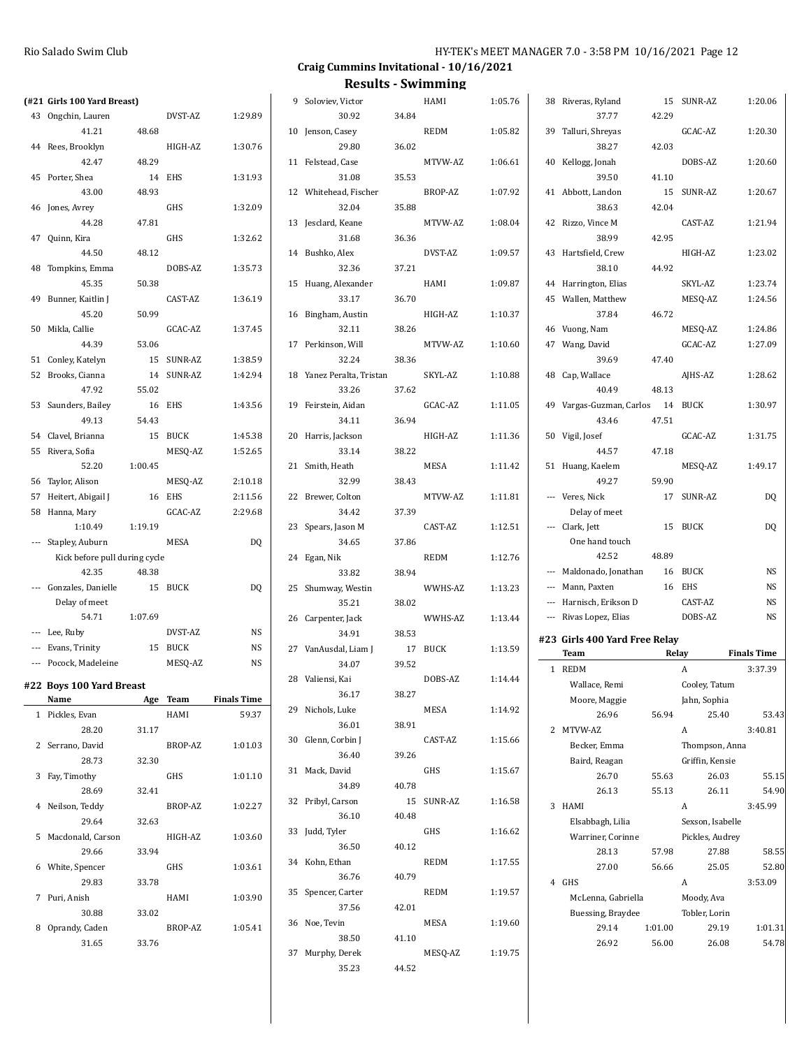| (#21 Girls 100 Yard Breast)   |         |            |                    | 9 Soloviev, Victor        |       | HAMI        | 1:05.76 | 38 Riveras, Ryland            |         | 15 SUNR-AZ       | 1:20.06            |
|-------------------------------|---------|------------|--------------------|---------------------------|-------|-------------|---------|-------------------------------|---------|------------------|--------------------|
| 43 Ongchin, Lauren            |         | DVST-AZ    | 1:29.89            | 30.92                     | 34.84 |             |         | 37.77                         | 42.29   |                  |                    |
| 41.21                         | 48.68   |            |                    | 10 Jenson, Casey          |       | <b>REDM</b> | 1:05.82 | 39 Talluri, Shreyas           |         | GCAC-AZ          | 1:20.30            |
| 44 Rees, Brooklyn             |         | HIGH-AZ    | 1:30.76            | 29.80                     | 36.02 |             |         | 38.27                         | 42.03   |                  |                    |
| 42.47                         | 48.29   |            |                    | 11 Felstead, Case         |       | MTVW-AZ     | 1:06.61 | 40 Kellogg, Jonah             |         | DOBS-AZ          | 1:20.60            |
| 45 Porter, Shea               |         | 14 EHS     | 1:31.93            | 31.08                     | 35.53 |             |         | 39.50                         | 41.10   |                  |                    |
| 43.00                         | 48.93   |            |                    | 12 Whitehead, Fischer     |       | BROP-AZ     | 1:07.92 | 41 Abbott, Landon             |         | 15 SUNR-AZ       | 1:20.67            |
| 46 Jones, Avrey               |         | GHS        | 1:32.09            | 32.04                     | 35.88 |             |         | 38.63                         | 42.04   |                  |                    |
| 44.28                         | 47.81   |            |                    | 13 Jesclard, Keane        |       | MTVW-AZ     | 1:08.04 | 42 Rizzo, Vince M             |         | CAST-AZ          | 1:21.94            |
| 47 Quinn, Kira                |         | GHS        | 1:32.62            | 31.68                     | 36.36 |             |         | 38.99                         | 42.95   |                  |                    |
|                               | 48.12   |            |                    |                           |       | DVST-AZ     |         | 43 Hartsfield, Crew           |         | HIGH-AZ          | 1:23.02            |
| 44.50                         |         |            |                    | 14 Bushko, Alex           |       |             | 1:09.57 |                               |         |                  |                    |
| 48 Tompkins, Emma             |         | DOBS-AZ    | 1:35.73            | 32.36                     | 37.21 |             |         | 38.10                         | 44.92   |                  |                    |
| 45.35                         | 50.38   |            |                    | 15 Huang, Alexander       |       | HAMI        | 1:09.87 | 44 Harrington, Elias          |         | SKYL-AZ          | 1:23.74            |
| 49 Bunner, Kaitlin J          |         | CAST-AZ    | 1:36.19            | 33.17                     | 36.70 |             |         | 45 Wallen, Matthew            |         | MESQ-AZ          | 1:24.56            |
| 45.20                         | 50.99   |            |                    | 16 Bingham, Austin        |       | HIGH-AZ     | 1:10.37 | 37.84                         | 46.72   |                  |                    |
| 50 Mikla, Callie              |         | GCAC-AZ    | 1:37.45            | 32.11                     | 38.26 |             |         | 46 Vuong, Nam                 |         | MESQ-AZ          | 1:24.86            |
| 44.39                         | 53.06   |            |                    | 17 Perkinson, Will        |       | MTVW-AZ     | 1:10.60 | 47 Wang, David                |         | GCAC-AZ          | 1:27.09            |
| 51 Conley, Katelyn            |         | 15 SUNR-AZ | 1:38.59            | 32.24                     | 38.36 |             |         | 39.69                         | 47.40   |                  |                    |
| 52 Brooks, Cianna             |         | 14 SUNR-AZ | 1:42.94            | 18 Yanez Peralta, Tristan |       | SKYL-AZ     | 1:10.88 | 48 Cap, Wallace               |         | AJHS-AZ          | 1:28.62            |
| 47.92                         | 55.02   |            |                    | 33.26                     | 37.62 |             |         | 40.49                         | 48.13   |                  |                    |
| 53 Saunders, Bailey           |         | 16 EHS     | 1:43.56            | 19 Feirstein, Aidan       |       | GCAC-AZ     | 1:11.05 | 49 Vargas-Guzman, Carlos      |         | 14 BUCK          | 1:30.97            |
| 49.13                         | 54.43   |            |                    | 34.11                     | 36.94 |             |         | 43.46                         | 47.51   |                  |                    |
| 54 Clavel, Brianna            |         | 15 BUCK    | 1:45.38            | 20 Harris, Jackson        |       | HIGH-AZ     | 1:11.36 | 50 Vigil, Josef               |         | GCAC-AZ          | 1:31.75            |
| 55 Rivera, Sofia              |         | MESQ-AZ    | 1:52.65            | 33.14                     | 38.22 |             |         | 44.57                         | 47.18   |                  |                    |
| 52.20                         | 1:00.45 |            |                    | 21 Smith, Heath           |       | MESA        | 1:11.42 | 51 Huang, Kaelem              |         | MESQ-AZ          | 1:49.17            |
| 56 Taylor, Alison             |         | MESQ-AZ    | 2:10.18            | 32.99                     | 38.43 |             |         | 49.27                         | 59.90   |                  |                    |
| 57 Heitert, Abigail J         |         | 16 EHS     | 2:11.56            | 22 Brewer, Colton         |       | MTVW-AZ     | 1:11.81 | --- Veres, Nick               |         | 17 SUNR-AZ       | DQ                 |
| 58 Hanna, Mary                |         | GCAC-AZ    | 2:29.68            | 34.42                     | 37.39 |             |         | Delay of meet                 |         |                  |                    |
| 1:10.49                       | 1:19.19 |            |                    | 23 Spears, Jason M        |       | CAST-AZ     | 1:12.51 | --- Clark, Jett               |         | 15 BUCK          | DQ                 |
| --- Stapley, Auburn           |         | MESA       | <b>DQ</b>          | 34.65                     | 37.86 |             |         | One hand touch                |         |                  |                    |
| Kick before pull during cycle |         |            |                    | 24 Egan, Nik              |       | <b>REDM</b> | 1:12.76 | 42.52                         | 48.89   |                  |                    |
| 42.35                         | 48.38   |            |                    | 33.82                     | 38.94 |             |         | --- Maldonado, Jonathan       |         | 16 BUCK          | <b>NS</b>          |
| --- Gonzales, Danielle        |         | 15 BUCK    | DQ                 | 25 Shumway, Westin        |       | WWHS-AZ     | 1:13.23 | --- Mann, Paxten              |         | 16 EHS           | <b>NS</b>          |
| Delay of meet                 |         |            |                    | 35.21                     | 38.02 |             |         | --- Harnisch, Erikson D       |         | CAST-AZ          | NS                 |
| 54.71                         | 1:07.69 |            |                    | 26 Carpenter, Jack        |       | WWHS-AZ     | 1:13.44 | --- Rivas Lopez, Elias        |         | DOBS-AZ          | <b>NS</b>          |
| --- Lee, Ruby                 |         | DVST-AZ    | NS                 | 34.91                     | 38.53 |             |         |                               |         |                  |                    |
| --- Evans, Trinity            |         | 15 BUCK    | <b>NS</b>          | 27 VanAusdal, Liam J      |       | 17 BUCK     | 1:13.59 | #23 Girls 400 Yard Free Relay |         |                  |                    |
| --- Pocock, Madeleine         |         | MESQ-AZ    | <b>NS</b>          | 34.07                     | 39.52 |             |         | Team                          |         | Relay            | <b>Finals Time</b> |
|                               |         |            |                    | 28 Valiensi, Kai          |       | DOBS-AZ     | 1:14.44 | 1 REDM                        |         | A                | 3:37.39            |
| #22 Boys 100 Yard Breast      |         |            |                    | 36.17                     | 38.27 |             |         | Wallace, Remi                 |         | Cooley, Tatum    |                    |
| Name                          |         | Age Team   | <b>Finals Time</b> | 29 Nichols, Luke          |       | MESA        | 1:14.92 | Moore, Maggie                 |         | Jahn, Sophia     |                    |
| 1 Pickles, Evan               |         | HAMI       | 59.37              | 36.01                     | 38.91 |             |         | 26.96                         | 56.94   | 25.40            | 53.43              |
| 28.20                         | 31.17   |            |                    | 30 Glenn, Corbin J        |       | CAST-AZ     | 1:15.66 | 2 MTVW-AZ                     |         | A                | 3:40.81            |
| 2 Serrano, David              |         | BROP-AZ    | 1:01.03            |                           |       |             |         | Becker, Emma                  |         | Thompson, Anna   |                    |
| 28.73                         | 32.30   |            |                    | 36.40                     | 39.26 |             |         | Baird, Reagan                 |         | Griffin, Kensie  |                    |
| 3 Fay, Timothy                |         | GHS        | 1:01.10            | 31 Mack, David            |       | GHS         | 1:15.67 | 26.70                         | 55.63   | 26.03            | 55.15              |
| 28.69                         | 32.41   |            |                    | 34.89                     | 40.78 |             |         | 26.13                         | 55.13   | 26.11            | 54.90              |
| 4 Neilson, Teddy              |         | BROP-AZ    | 1:02.27            | 32 Pribyl, Carson         |       | 15 SUNR-AZ  | 1:16.58 | 3 HAMI                        |         | $\mathbf{A}$     | 3:45.99            |
| 29.64                         | 32.63   |            |                    | 36.10                     | 40.48 |             |         | Elsabbagh, Lilia              |         | Sexson, Isabelle |                    |
| 5 Macdonald, Carson           |         | HIGH-AZ    | 1:03.60            | 33 Judd, Tyler            |       | GHS         | 1:16.62 | Warriner, Corinne             |         | Pickles, Audrey  |                    |
| 29.66                         | 33.94   |            |                    | 36.50                     | 40.12 |             |         | 28.13                         | 57.98   | 27.88            | 58.55              |
| 6 White, Spencer              |         | GHS        | 1:03.61            | 34 Kohn, Ethan            |       | REDM        | 1:17.55 | 27.00                         | 56.66   | 25.05            | 52.80              |
| 29.83                         | 33.78   |            |                    | 36.76                     | 40.79 |             |         | 4 GHS                         |         | $\mathbf{A}$     | 3:53.09            |
| 7 Puri, Anish                 |         | HAMI       | 1:03.90            | 35 Spencer, Carter        |       | REDM        | 1:19.57 | McLenna, Gabriella            |         | Moody, Ava       |                    |
| 30.88                         | 33.02   |            |                    | 37.56                     | 42.01 |             |         | Buessing, Braydee             |         | Tobler, Lorin    |                    |
| 8 Oprandy, Caden              |         | BROP-AZ    | 1:05.41            | 36 Noe, Tevin             |       | MESA        | 1:19.60 | 29.14                         | 1:01.00 | 29.19            | 1:01.31            |
| 31.65                         | 33.76   |            |                    | 38.50                     | 41.10 |             |         | 26.92                         | 56.00   | 26.08            | 54.78              |
|                               |         |            |                    | 37 Murphy, Derek          |       | MESQ-AZ     | 1:19.75 |                               |         |                  |                    |
|                               |         |            |                    |                           |       |             |         |                               |         |                  |                    |
|                               |         |            |                    | 35.23                     | 44.52 |             |         |                               |         |                  |                    |